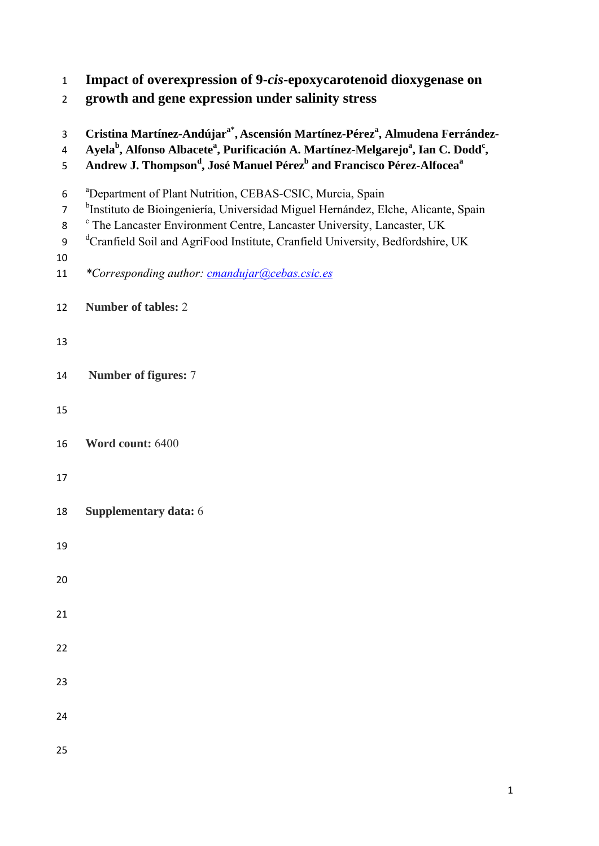|  | Impact of overexpression of 9-cis-epoxycarotenoid dioxygenase on |  |
|--|------------------------------------------------------------------|--|
|  |                                                                  |  |

**growth and gene expression under salinity stress** 

| 3<br>$\overline{4}$<br>5            | Cristina Martínez-Andújar <sup>a*</sup> , Ascensión Martínez-Pérez <sup>a</sup> , Almudena Ferrández-<br>Ayela <sup>b</sup> , Alfonso Albacete <sup>a</sup> , Purificación A. Martínez-Melgarejo <sup>a</sup> , Ian C. Dodd <sup>c</sup> ,<br>Andrew J. Thompson <sup>d</sup> , José Manuel Pérez <sup>b</sup> and Francisco Pérez-Alfocea <sup>a</sup>    |
|-------------------------------------|------------------------------------------------------------------------------------------------------------------------------------------------------------------------------------------------------------------------------------------------------------------------------------------------------------------------------------------------------------|
| 6<br>$\overline{7}$<br>8<br>9<br>10 | <sup>a</sup> Department of Plant Nutrition, CEBAS-CSIC, Murcia, Spain<br><sup>b</sup> Instituto de Bioingeniería, Universidad Miguel Hernández, Elche, Alicante, Spain<br><sup>c</sup> The Lancaster Environment Centre, Lancaster University, Lancaster, UK<br><sup>d</sup> Cranfield Soil and AgriFood Institute, Cranfield University, Bedfordshire, UK |
| 11                                  | *Corresponding author: cmandujar@cebas.csic.es                                                                                                                                                                                                                                                                                                             |
| 12                                  | <b>Number of tables: 2</b>                                                                                                                                                                                                                                                                                                                                 |
| 13                                  |                                                                                                                                                                                                                                                                                                                                                            |
| 14                                  | Number of figures: 7                                                                                                                                                                                                                                                                                                                                       |
| 15                                  |                                                                                                                                                                                                                                                                                                                                                            |
| 16                                  | Word count: 6400                                                                                                                                                                                                                                                                                                                                           |
| 17                                  |                                                                                                                                                                                                                                                                                                                                                            |
| 18                                  | Supplementary data: 6                                                                                                                                                                                                                                                                                                                                      |
| 19                                  |                                                                                                                                                                                                                                                                                                                                                            |
| 20                                  |                                                                                                                                                                                                                                                                                                                                                            |
| 21                                  |                                                                                                                                                                                                                                                                                                                                                            |
| 22                                  |                                                                                                                                                                                                                                                                                                                                                            |
| 23                                  |                                                                                                                                                                                                                                                                                                                                                            |
| 24                                  |                                                                                                                                                                                                                                                                                                                                                            |
| 25                                  |                                                                                                                                                                                                                                                                                                                                                            |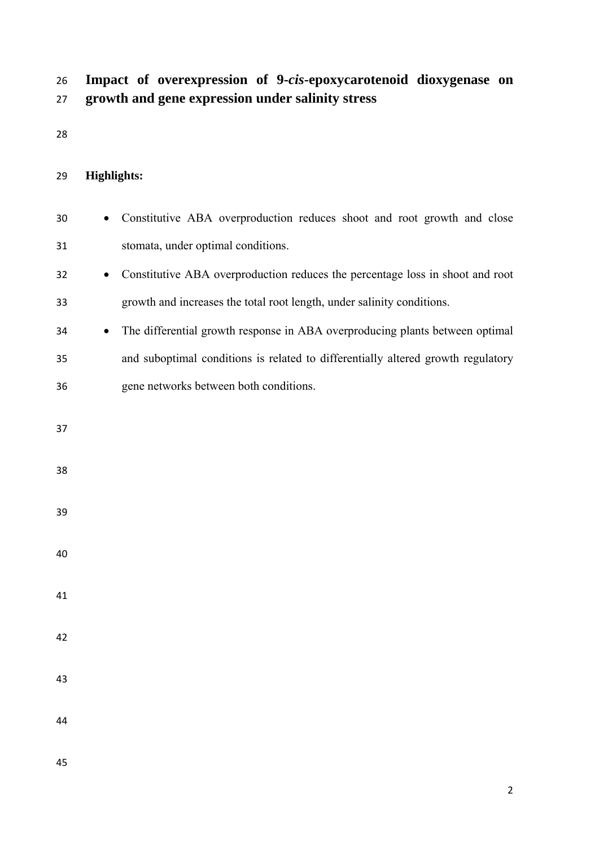## **Impact of overexpression of 9-***cis***-epoxycarotenoid dioxygenase on growth and gene expression under salinity stress**

## **Highlights:**

- Constitutive ABA overproduction reduces shoot and root growth and close stomata, under optimal conditions.
- Constitutive ABA overproduction reduces the percentage loss in shoot and root growth and increases the total root length, under salinity conditions.
- The differential growth response in ABA overproducing plants between optimal and suboptimal conditions is related to differentially altered growth regulatory gene networks between both conditions.
- 
- 
- 
- 
- 
- 
- 
- 
- 
- 
-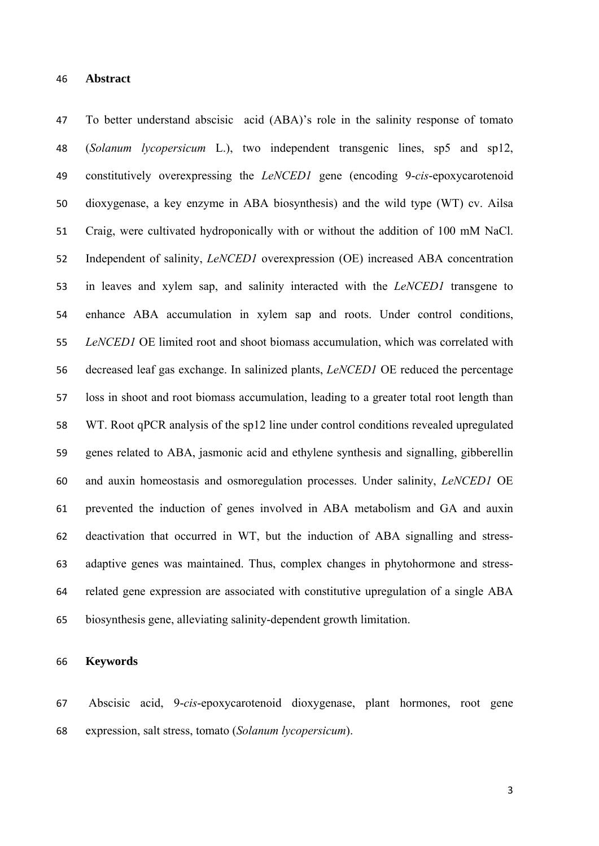To better understand abscisic acid (ABA)'s role in the salinity response of tomato (*Solanum lycopersicum* L.), two independent transgenic lines, sp5 and sp12, constitutively overexpressing the *LeNCED1* gene (encoding 9-*cis*-epoxycarotenoid dioxygenase, a key enzyme in ABA biosynthesis) and the wild type (WT) cv. Ailsa Craig, were cultivated hydroponically with or without the addition of 100 mM NaCl. Independent of salinity, *LeNCED1* overexpression (OE) increased ABA concentration in leaves and xylem sap, and salinity interacted with the *LeNCED1* transgene to enhance ABA accumulation in xylem sap and roots. Under control conditions, *LeNCED1* OE limited root and shoot biomass accumulation, which was correlated with decreased leaf gas exchange. In salinized plants, *LeNCED1* OE reduced the percentage loss in shoot and root biomass accumulation, leading to a greater total root length than WT. Root qPCR analysis of the sp12 line under control conditions revealed upregulated genes related to ABA, jasmonic acid and ethylene synthesis and signalling, gibberellin and auxin homeostasis and osmoregulation processes. Under salinity, *LeNCED1* OE prevented the induction of genes involved in ABA metabolism and GA and auxin deactivation that occurred in WT, but the induction of ABA signalling and stress- adaptive genes was maintained. Thus, complex changes in phytohormone and stress- related gene expression are associated with constitutive upregulation of a single ABA biosynthesis gene, alleviating salinity-dependent growth limitation.

#### **Keywords**

 Abscisic acid, 9-*cis*-epoxycarotenoid dioxygenase, plant hormones, root gene expression, salt stress, tomato (*Solanum lycopersicum*).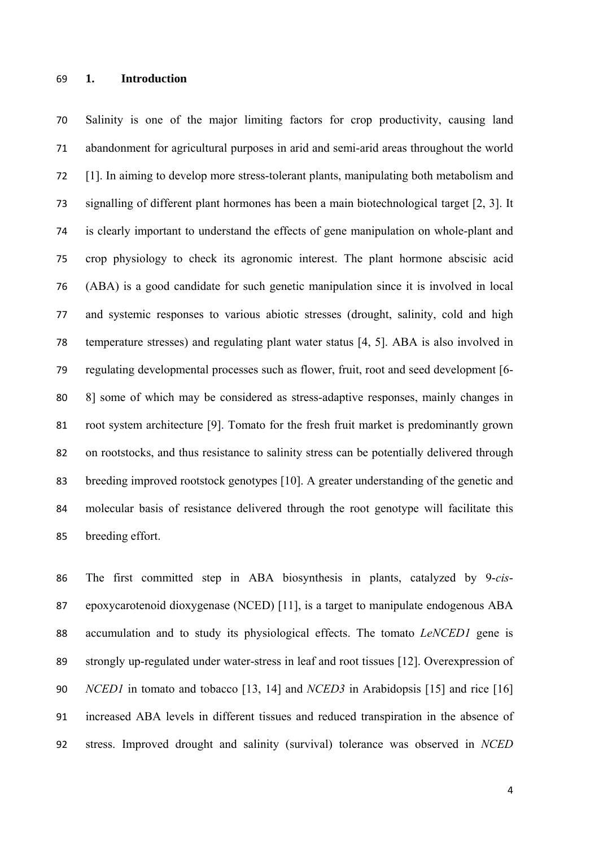#### **1. Introduction**

 Salinity is one of the major limiting factors for crop productivity, causing land abandonment for agricultural purposes in arid and semi-arid areas throughout the world [1]. In aiming to develop more stress-tolerant plants, manipulating both metabolism and signalling of different plant hormones has been a main biotechnological target [2, 3]. It is clearly important to understand the effects of gene manipulation on whole-plant and crop physiology to check its agronomic interest. The plant hormone abscisic acid (ABA) is a good candidate for such genetic manipulation since it is involved in local and systemic responses to various abiotic stresses (drought, salinity, cold and high temperature stresses) and regulating plant water status [4, 5]. ABA is also involved in regulating developmental processes such as flower, fruit, root and seed development [6- 8] some of which may be considered as stress-adaptive responses, mainly changes in root system architecture [9]. Tomato for the fresh fruit market is predominantly grown on rootstocks, and thus resistance to salinity stress can be potentially delivered through breeding improved rootstock genotypes [10]. A greater understanding of the genetic and molecular basis of resistance delivered through the root genotype will facilitate this breeding effort.

 The first committed step in ABA biosynthesis in plants, catalyzed by 9-*cis*- epoxycarotenoid dioxygenase (NCED) [11], is a target to manipulate endogenous ABA accumulation and to study its physiological effects. The tomato *LeNCED1* gene is strongly up-regulated under water-stress in leaf and root tissues [12]. Overexpression of *NCED1* in tomato and tobacco [13, 14] and *NCED3* in Arabidopsis [15] and rice [16] increased ABA levels in different tissues and reduced transpiration in the absence of stress. Improved drought and salinity (survival) tolerance was observed in *NCED*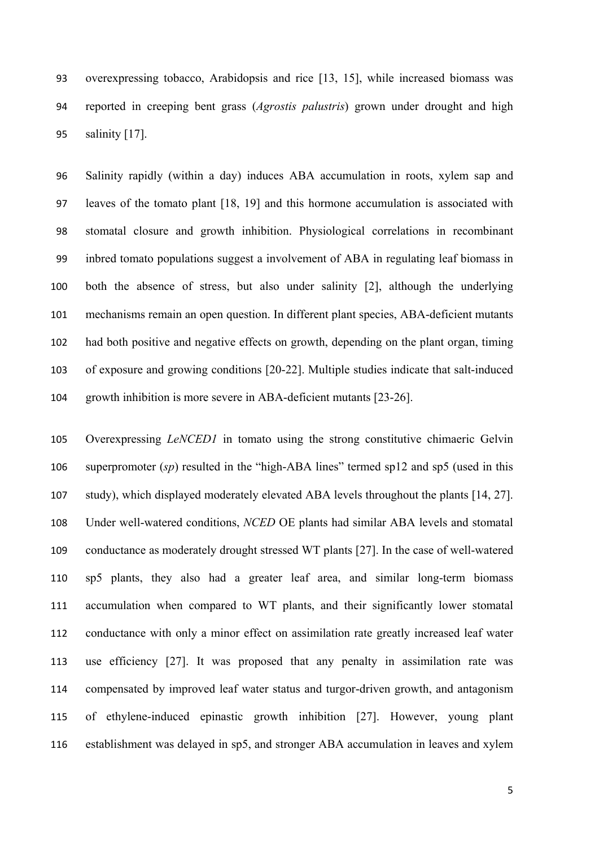overexpressing tobacco, Arabidopsis and rice [13, 15], while increased biomass was reported in creeping bent grass (*Agrostis palustris*) grown under drought and high salinity [17].

 Salinity rapidly (within a day) induces ABA accumulation in roots, xylem sap and leaves of the tomato plant [18, 19] and this hormone accumulation is associated with stomatal closure and growth inhibition. Physiological correlations in recombinant inbred tomato populations suggest a involvement of ABA in regulating leaf biomass in both the absence of stress, but also under salinity [2], although the underlying mechanisms remain an open question. In different plant species, ABA-deficient mutants had both positive and negative effects on growth, depending on the plant organ, timing of exposure and growing conditions [20-22]. Multiple studies indicate that salt-induced growth inhibition is more severe in ABA-deficient mutants [23-26].

 Overexpressing *LeNCED1* in tomato using the strong constitutive chimaeric Gelvin superpromoter (*sp*) resulted in the "high-ABA lines" termed sp12 and sp5 (used in this study), which displayed moderately elevated ABA levels throughout the plants [14, 27]. Under well-watered conditions, *NCED* OE plants had similar ABA levels and stomatal conductance as moderately drought stressed WT plants [27]. In the case of well-watered sp5 plants, they also had a greater leaf area, and similar long-term biomass accumulation when compared to WT plants, and their significantly lower stomatal conductance with only a minor effect on assimilation rate greatly increased leaf water use efficiency [27]. It was proposed that any penalty in assimilation rate was compensated by improved leaf water status and turgor-driven growth, and antagonism of ethylene-induced epinastic growth inhibition [27]. However, young plant establishment was delayed in sp5, and stronger ABA accumulation in leaves and xylem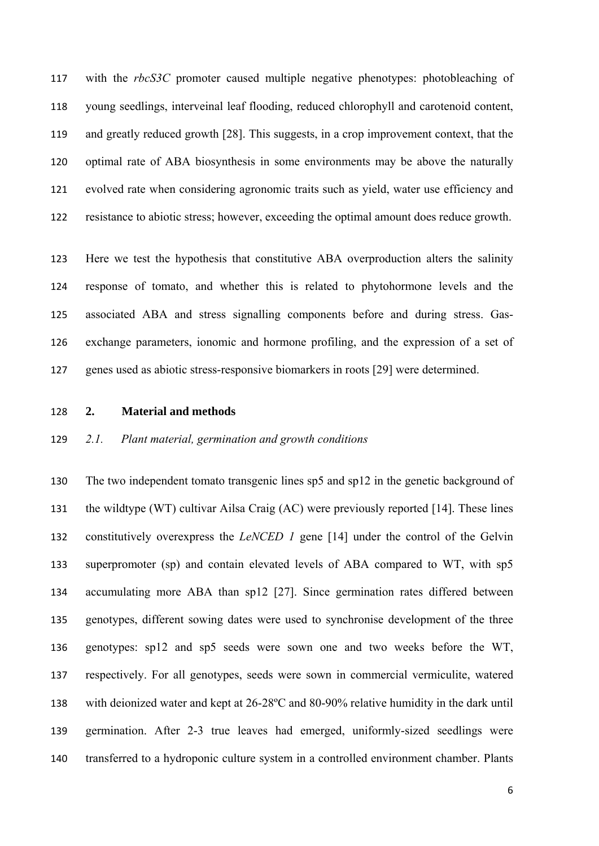with the *rbcS3C* promoter caused multiple negative phenotypes: photobleaching of young seedlings, interveinal leaf flooding, reduced chlorophyll and carotenoid content, and greatly reduced growth [28]. This suggests, in a crop improvement context, that the optimal rate of ABA biosynthesis in some environments may be above the naturally evolved rate when considering agronomic traits such as yield, water use efficiency and resistance to abiotic stress; however, exceeding the optimal amount does reduce growth.

 Here we test the hypothesis that constitutive ABA overproduction alters the salinity response of tomato, and whether this is related to phytohormone levels and the associated ABA and stress signalling components before and during stress. Gas- exchange parameters, ionomic and hormone profiling, and the expression of a set of genes used as abiotic stress-responsive biomarkers in roots [29] were determined.

**2. Material and methods** 

#### *2.1. Plant material, germination and growth conditions*

 The two independent tomato transgenic lines sp5 and sp12 in the genetic background of the wildtype (WT) cultivar Ailsa Craig (AC) were previously reported [14]. These lines constitutively overexpress the *LeNCED 1* gene [14] under the control of the Gelvin superpromoter (sp) and contain elevated levels of ABA compared to WT, with sp5 accumulating more ABA than sp12 [27]. Since germination rates differed between genotypes, different sowing dates were used to synchronise development of the three genotypes: sp12 and sp5 seeds were sown one and two weeks before the WT, respectively. For all genotypes, seeds were sown in commercial vermiculite, watered with deionized water and kept at 26-28ºC and 80-90% relative humidity in the dark until germination. After 2-3 true leaves had emerged, uniformly-sized seedlings were transferred to a hydroponic culture system in a controlled environment chamber. Plants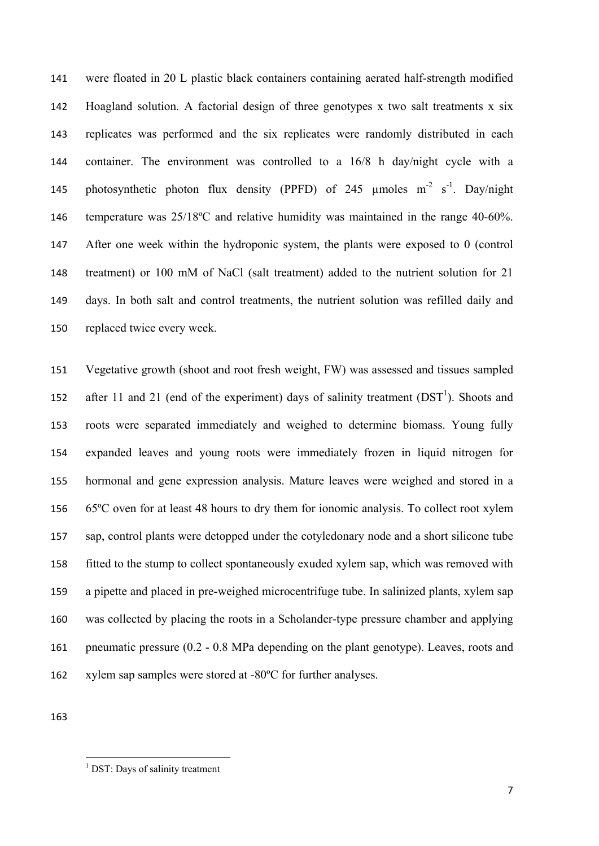were floated in 20 L plastic black containers containing aerated half-strength modified Hoagland solution. A factorial design of three genotypes x two salt treatments x six replicates was performed and the six replicates were randomly distributed in each container. The environment was controlled to a 16/8 h day/night cycle with a 145 photosynthetic photon flux density (PPFD) of 245  $\mu$ moles m<sup>-2</sup> s<sup>-1</sup>. Day/night temperature was 25/18ºC and relative humidity was maintained in the range 40-60%. After one week within the hydroponic system, the plants were exposed to 0 (control treatment) or 100 mM of NaCl (salt treatment) added to the nutrient solution for 21 days. In both salt and control treatments, the nutrient solution was refilled daily and replaced twice every week.

 Vegetative growth (shoot and root fresh weight, FW) was assessed and tissues sampled 152 after 11 and 21 (end of the experiment) days of salinity treatment  $(DST<sup>1</sup>)$ . Shoots and roots were separated immediately and weighed to determine biomass. Young fully expanded leaves and young roots were immediately frozen in liquid nitrogen for hormonal and gene expression analysis. Mature leaves were weighed and stored in a 65ºC oven for at least 48 hours to dry them for ionomic analysis. To collect root xylem sap, control plants were detopped under the cotyledonary node and a short silicone tube fitted to the stump to collect spontaneously exuded xylem sap, which was removed with a pipette and placed in pre-weighed microcentrifuge tube. In salinized plants, xylem sap was collected by placing the roots in a Scholander-type pressure chamber and applying pneumatic pressure (0.2 - 0.8 MPa depending on the plant genotype). Leaves, roots and xylem sap samples were stored at -80ºC for further analyses.

 1 DST: Days of salinity treatment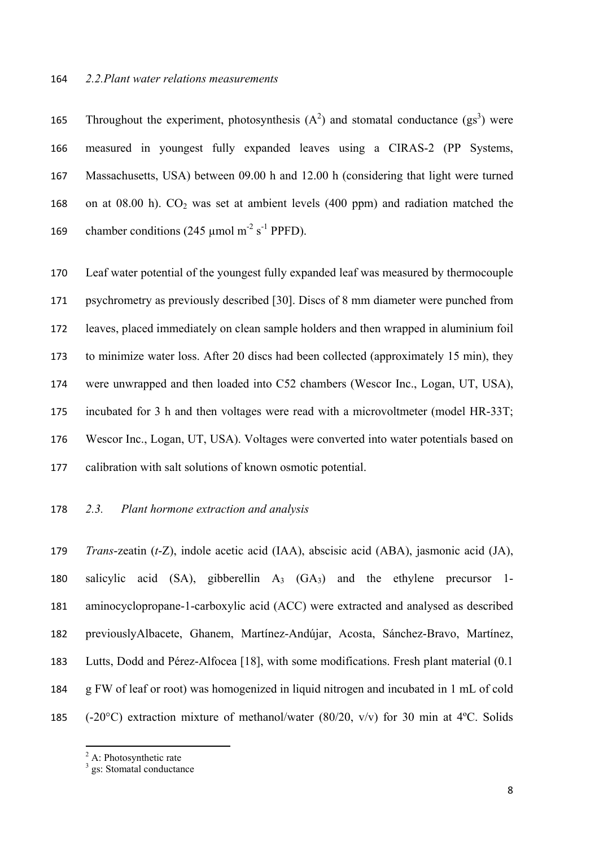#### *2.2.Plant water relations measurements*

165 Throughout the experiment, photosynthesis  $(A^2)$  and stomatal conductance  $(gs^3)$  were measured in youngest fully expanded leaves using a CIRAS-2 (PP Systems, Massachusetts, USA) between 09.00 h and 12.00 h (considering that light were turned 168 on at 08.00 h).  $CO<sub>2</sub>$  was set at ambient levels (400 ppm) and radiation matched the 169 chamber conditions (245  $\mu$ mol m<sup>-2</sup> s<sup>-1</sup> PPFD).

 Leaf water potential of the youngest fully expanded leaf was measured by thermocouple psychrometry as previously described [30]. Discs of 8 mm diameter were punched from leaves, placed immediately on clean sample holders and then wrapped in aluminium foil to minimize water loss. After 20 discs had been collected (approximately 15 min), they were unwrapped and then loaded into C52 chambers (Wescor Inc., Logan, UT, USA), incubated for 3 h and then voltages were read with a microvoltmeter (model HR-33T; Wescor Inc., Logan, UT, USA). Voltages were converted into water potentials based on calibration with salt solutions of known osmotic potential.

#### *2.3. Plant hormone extraction and analysis*

 *Trans*-zeatin (*t*-Z), indole acetic acid (IAA), abscisic acid (ABA), jasmonic acid (JA), 180 salicylic acid  $(SA)$ , gibberellin  $A_3$   $(GA_3)$  and the ethylene precursor 1- aminocyclopropane-1-carboxylic acid (ACC) were extracted and analysed as described previouslyAlbacete, Ghanem, Martínez-Andújar, Acosta, Sánchez-Bravo, Martínez, Lutts, Dodd and Pérez-Alfocea [18], with some modifications. Fresh plant material (0.1 g FW of leaf or root) was homogenized in liquid nitrogen and incubated in 1 mL of cold (-20°C) extraction mixture of methanol/water (80/20, v/v) for 30 min at 4ºC. Solids

A: Photosynthetic rate

<sup>&</sup>lt;sup>3</sup> gs: Stomatal conductance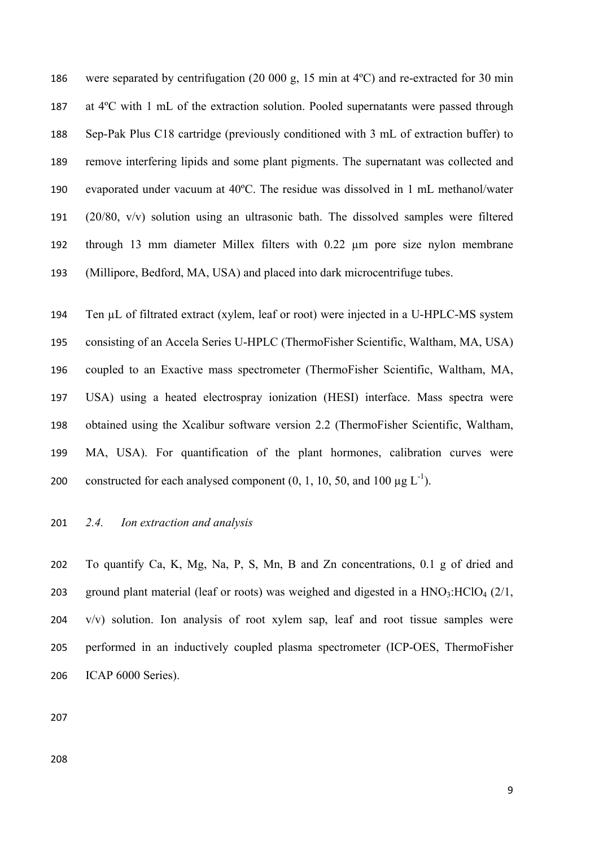were separated by centrifugation (20 000 g, 15 min at 4ºC) and re-extracted for 30 min at 4ºC with 1 mL of the extraction solution. Pooled supernatants were passed through Sep-Pak Plus C18 cartridge (previously conditioned with 3 mL of extraction buffer) to remove interfering lipids and some plant pigments. The supernatant was collected and evaporated under vacuum at 40ºC. The residue was dissolved in 1 mL methanol/water (20/80, v/v) solution using an ultrasonic bath. The dissolved samples were filtered through 13 mm diameter Millex filters with 0.22 µm pore size nylon membrane (Millipore, Bedford, MA, USA) and placed into dark microcentrifuge tubes.

 Ten µL of filtrated extract (xylem, leaf or root) were injected in a U-HPLC-MS system consisting of an Accela Series U-HPLC (ThermoFisher Scientific, Waltham, MA, USA) coupled to an Exactive mass spectrometer (ThermoFisher Scientific, Waltham, MA, USA) using a heated electrospray ionization (HESI) interface. Mass spectra were obtained using the Xcalibur software version 2.2 (ThermoFisher Scientific, Waltham, MA, USA). For quantification of the plant hormones, calibration curves were 200 constructed for each analysed component  $(0, 1, 10, 50, \text{ and } 100 \mu \text{g } L^{-1})$ .

#### *2.4. Ion extraction and analysis*

 To quantify Ca, K, Mg, Na, P, S, Mn, B and Zn concentrations, 0.1 g of dried and 203 ground plant material (leaf or roots) was weighed and digested in a  $HNO<sub>3</sub>:HClO<sub>4</sub> (2/1, 1)$  v/v) solution. Ion analysis of root xylem sap, leaf and root tissue samples were performed in an inductively coupled plasma spectrometer (ICP-OES, ThermoFisher ICAP 6000 Series).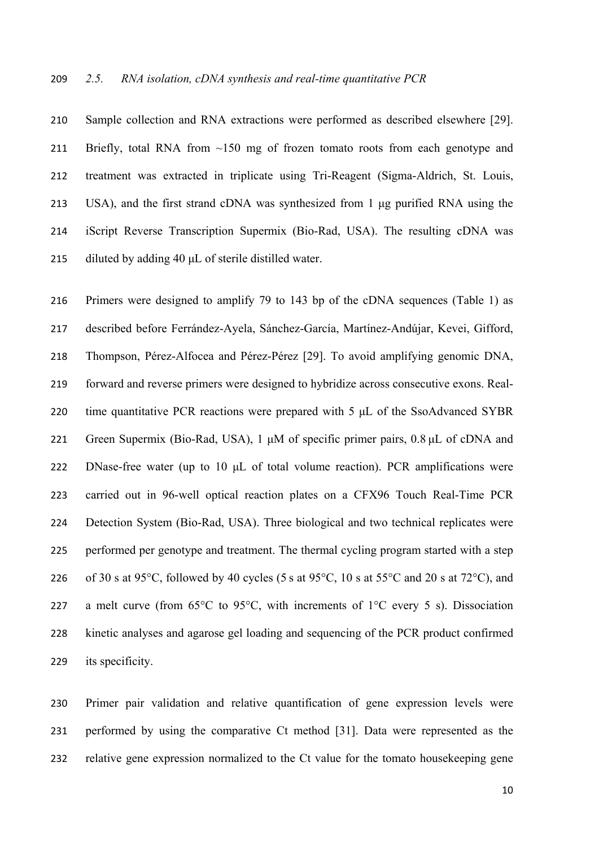Sample collection and RNA extractions were performed as described elsewhere [29]. Briefly, total RNA from ~150 mg of frozen tomato roots from each genotype and treatment was extracted in triplicate using Tri-Reagent (Sigma-Aldrich, St. Louis, USA), and the first strand cDNA was synthesized from 1 μg purified RNA using the iScript Reverse Transcription Supermix (Bio-Rad, USA). The resulting cDNA was diluted by adding 40 μL of sterile distilled water.

 Primers were designed to amplify 79 to 143 bp of the cDNA sequences (Table 1) as described before Ferrández-Ayela, Sánchez-García, Martínez-Andújar, Kevei, Gifford, Thompson, Pérez-Alfocea and Pérez-Pérez [29]. To avoid amplifying genomic DNA, forward and reverse primers were designed to hybridize across consecutive exons. Real- time quantitative PCR reactions were prepared with 5 μL of the SsoAdvanced SYBR Green Supermix (Bio-Rad, USA), 1 μM of specific primer pairs, 0.8 μL of cDNA and DNase-free water (up to 10 μL of total volume reaction). PCR amplifications were carried out in 96-well optical reaction plates on a CFX96 Touch Real-Time PCR Detection System (Bio-Rad, USA). Three biological and two technical replicates were performed per genotype and treatment. The thermal cycling program started with a step 226 of 30 s at 95 °C, followed by 40 cycles (5 s at 95 °C, 10 s at 55 °C and 20 s at 72 °C), and 227 a melt curve (from  $65^{\circ}$ C to  $95^{\circ}$ C, with increments of  $1^{\circ}$ C every 5 s). Dissociation kinetic analyses and agarose gel loading and sequencing of the PCR product confirmed its specificity.

 Primer pair validation and relative quantification of gene expression levels were performed by using the comparative Ct method [31]. Data were represented as the relative gene expression normalized to the Ct value for the tomato housekeeping gene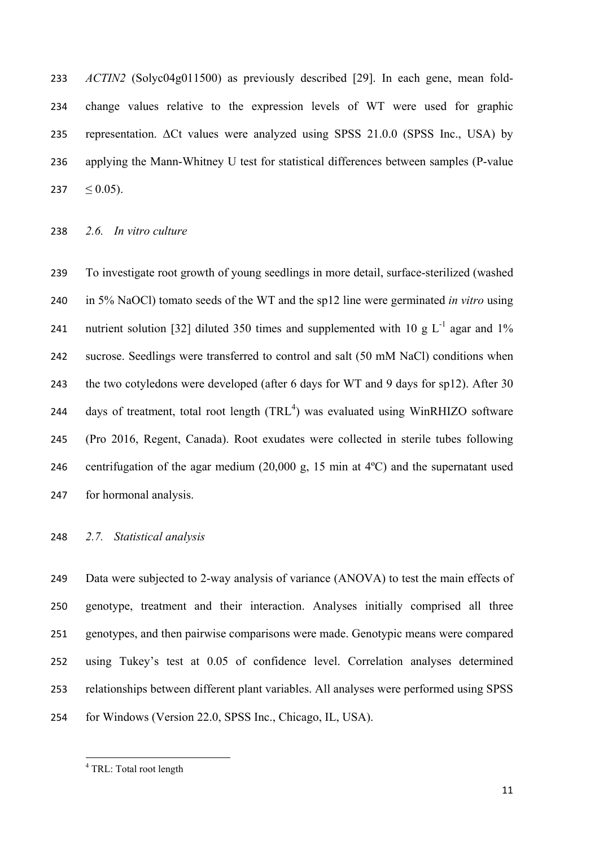*ACTIN2* (Solyc04g011500) as previously described [29]. In each gene, mean fold- change values relative to the expression levels of WT were used for graphic representation. ΔCt values were analyzed using SPSS 21.0.0 (SPSS Inc., USA) by applying the Mann-Whitney U test for statistical differences between samples (P-value  $\leq$  0.05).

#### *2.6. In vitro culture*

 To investigate root growth of young seedlings in more detail, surface-sterilized (washed in 5% NaOCl) tomato seeds of the WT and the sp12 line were germinated *in vitro* using 241 nutrient solution [32] diluted 350 times and supplemented with 10 g  $L^{-1}$  agar and 1% sucrose. Seedlings were transferred to control and salt (50 mM NaCl) conditions when the two cotyledons were developed (after 6 days for WT and 9 days for sp12). After 30 244 days of treatment, total root length  $(TRL<sup>4</sup>)$  was evaluated using WinRHIZO software (Pro 2016, Regent, Canada). Root exudates were collected in sterile tubes following centrifugation of the agar medium (20,000 g, 15 min at 4ºC) and the supernatant used for hormonal analysis.

#### *2.7. Statistical analysis*

 Data were subjected to 2-way analysis of variance (ANOVA) to test the main effects of genotype, treatment and their interaction. Analyses initially comprised all three genotypes, and then pairwise comparisons were made. Genotypic means were compared using Tukey's test at 0.05 of confidence level. Correlation analyses determined relationships between different plant variables. All analyses were performed using SPSS for Windows (Version 22.0, SPSS Inc., Chicago, IL, USA).

<sup>&</sup>lt;sup>4</sup> TRL: Total root length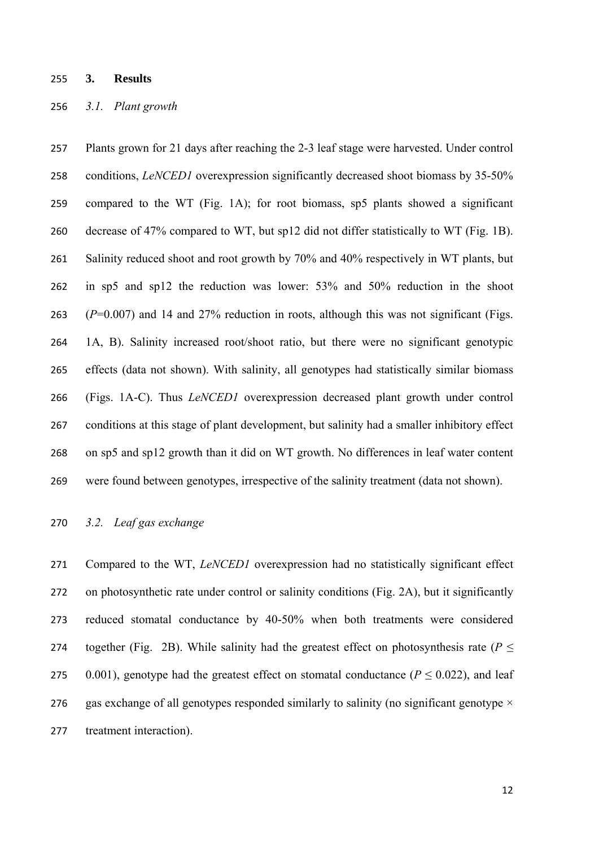#### **3. Results**

#### *3.1. Plant growth*

 Plants grown for 21 days after reaching the 2-3 leaf stage were harvested. Under control conditions, *LeNCED1* overexpression significantly decreased shoot biomass by 35-50% compared to the WT (Fig. 1A); for root biomass, sp5 plants showed a significant decrease of 47% compared to WT, but sp12 did not differ statistically to WT (Fig. 1B). 261 Salinity reduced shoot and root growth by 70% and 40% respectively in WT plants, but in sp5 and sp12 the reduction was lower: 53% and 50% reduction in the shoot (*P*=0.007) and 14 and 27% reduction in roots, although this was not significant (Figs. 1A, B). Salinity increased root/shoot ratio, but there were no significant genotypic effects (data not shown). With salinity, all genotypes had statistically similar biomass (Figs. 1A-C). Thus *LeNCED1* overexpression decreased plant growth under control conditions at this stage of plant development, but salinity had a smaller inhibitory effect on sp5 and sp12 growth than it did on WT growth. No differences in leaf water content were found between genotypes, irrespective of the salinity treatment (data not shown).

#### *3.2. Leaf gas exchange*

 Compared to the WT, *LeNCED1* overexpression had no statistically significant effect on photosynthetic rate under control or salinity conditions (Fig. 2A), but it significantly reduced stomatal conductance by 40-50% when both treatments were considered 274 together (Fig. 2B). While salinity had the greatest effect on photosynthesis rate ( $P \leq$ 275 0.001), genotype had the greatest effect on stomatal conductance ( $P \le 0.022$ ), and leaf 276 gas exchange of all genotypes responded similarly to salinity (no significant genotype  $\times$ treatment interaction).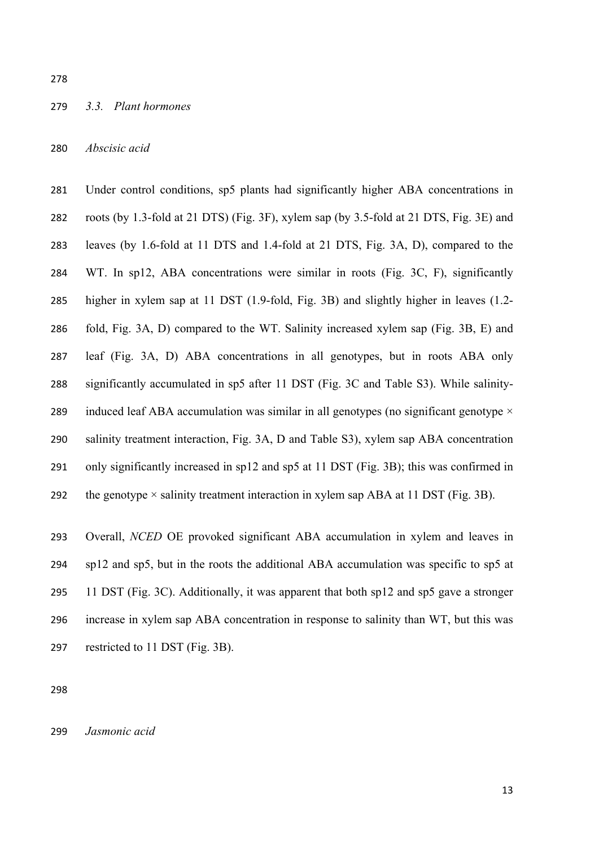#### *3.3. Plant hormones*

*Abscisic acid* 

 Under control conditions, sp5 plants had significantly higher ABA concentrations in roots (by 1.3-fold at 21 DTS) (Fig. 3F), xylem sap (by 3.5-fold at 21 DTS, Fig. 3E) and leaves (by 1.6-fold at 11 DTS and 1.4-fold at 21 DTS, Fig. 3A, D), compared to the WT. In sp12, ABA concentrations were similar in roots (Fig. 3C, F), significantly higher in xylem sap at 11 DST (1.9-fold, Fig. 3B) and slightly higher in leaves (1.2- fold, Fig. 3A, D) compared to the WT. Salinity increased xylem sap (Fig. 3B, E) and leaf (Fig. 3A, D) ABA concentrations in all genotypes, but in roots ABA only significantly accumulated in sp5 after 11 DST (Fig. 3C and Table S3). While salinity-289 induced leaf ABA accumulation was similar in all genotypes (no significant genotype  $\times$  salinity treatment interaction, Fig. 3A, D and Table S3), xylem sap ABA concentration only significantly increased in sp12 and sp5 at 11 DST (Fig. 3B); this was confirmed in 292 the genotype  $\times$  salinity treatment interaction in xylem sap ABA at 11 DST (Fig. 3B).

 Overall, *NCED* OE provoked significant ABA accumulation in xylem and leaves in sp12 and sp5, but in the roots the additional ABA accumulation was specific to sp5 at 11 DST (Fig. 3C). Additionally, it was apparent that both sp12 and sp5 gave a stronger increase in xylem sap ABA concentration in response to salinity than WT, but this was restricted to 11 DST (Fig. 3B).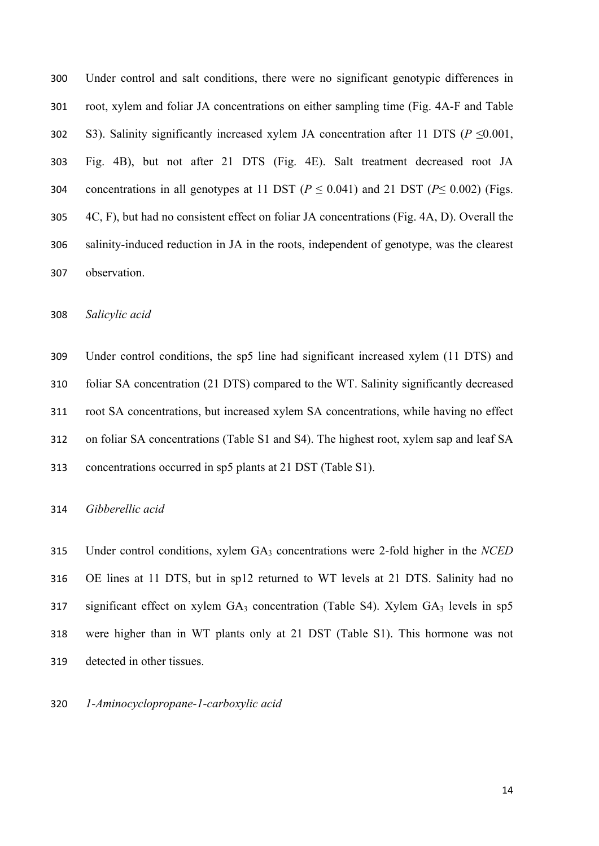Under control and salt conditions, there were no significant genotypic differences in root, xylem and foliar JA concentrations on either sampling time (Fig. 4A-F and Table 302 S3). Salinity significantly increased xylem JA concentration after 11 DTS ( $P \le 0.001$ , Fig. 4B), but not after 21 DTS (Fig. 4E). Salt treatment decreased root JA 304 concentrations in all genotypes at 11 DST ( $P \le 0.041$ ) and 21 DST ( $P \le 0.002$ ) (Figs. 4C, F), but had no consistent effect on foliar JA concentrations (Fig. 4A, D). Overall the salinity-induced reduction in JA in the roots, independent of genotype, was the clearest observation.

*Salicylic acid* 

 Under control conditions, the sp5 line had significant increased xylem (11 DTS) and foliar SA concentration (21 DTS) compared to the WT. Salinity significantly decreased root SA concentrations, but increased xylem SA concentrations, while having no effect on foliar SA concentrations (Table S1 and S4). The highest root, xylem sap and leaf SA concentrations occurred in sp5 plants at 21 DST (Table S1).

#### *Gibberellic acid*

 Under control conditions, xylem GA3 concentrations were 2-fold higher in the *NCED* OE lines at 11 DTS, but in sp12 returned to WT levels at 21 DTS. Salinity had no significant effect on xylem  $GA_3$  concentration (Table S4). Xylem  $GA_3$  levels in  $sp5$  were higher than in WT plants only at 21 DST (Table S1). This hormone was not detected in other tissues.

*1-Aminocyclopropane-1-carboxylic acid*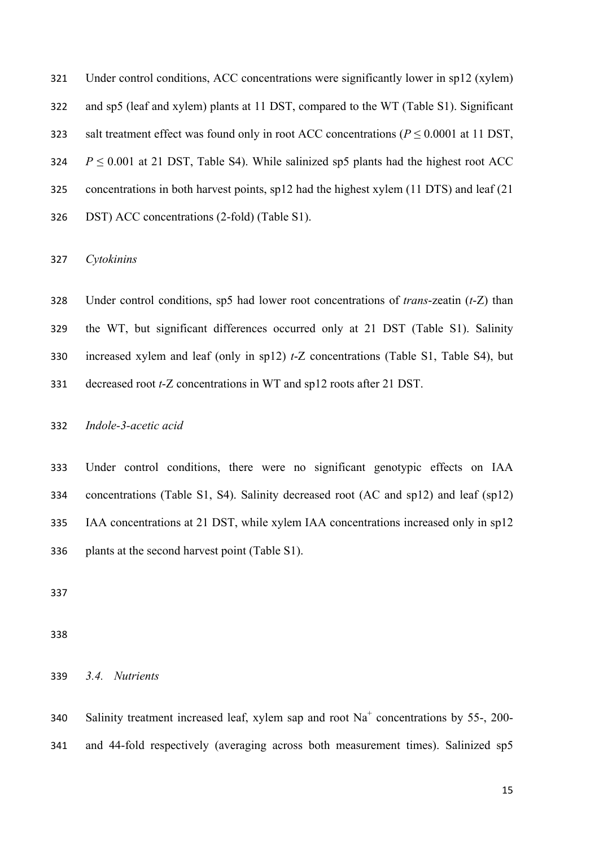Under control conditions, ACC concentrations were significantly lower in sp12 (xylem)

and sp5 (leaf and xylem) plants at 11 DST, compared to the WT (Table S1). Significant

323 salt treatment effect was found only in root ACC concentrations ( $P \le 0.0001$  at 11 DST,

324  $P \le 0.001$  at 21 DST, Table S4). While salinized sp5 plants had the highest root ACC

concentrations in both harvest points, sp12 had the highest xylem (11 DTS) and leaf (21

DST) ACC concentrations (2-fold) (Table S1).

*Cytokinins*

 Under control conditions, sp5 had lower root concentrations of *trans*-zeatin (*t*-Z) than the WT, but significant differences occurred only at 21 DST (Table S1). Salinity increased xylem and leaf (only in sp12) *t*-Z concentrations (Table S1, Table S4), but decreased root *t*-Z concentrations in WT and sp12 roots after 21 DST.

*Indole-3-acetic acid* 

 Under control conditions, there were no significant genotypic effects on IAA concentrations (Table S1, S4). Salinity decreased root (AC and sp12) and leaf (sp12) IAA concentrations at 21 DST, while xylem IAA concentrations increased only in sp12 plants at the second harvest point (Table S1).

*3.4. Nutrients* 

Salinity treatment increased leaf, xylem sap and root  $Na<sup>+</sup>$  concentrations by 55-, 200-and 44-fold respectively (averaging across both measurement times). Salinized sp5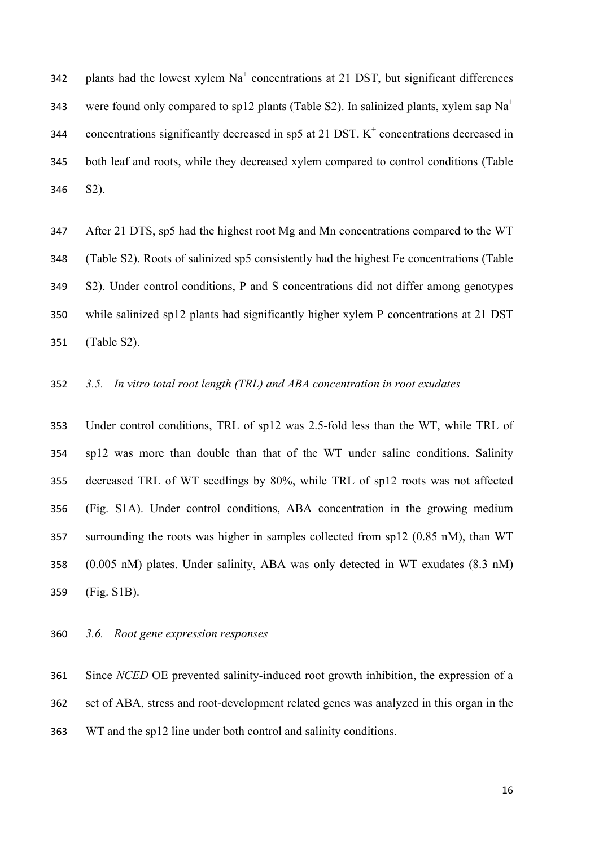plants had the lowest xylem  $Na<sup>+</sup>$  concentrations at 21 DST, but significant differences 343 were found only compared to sp12 plants (Table S2). In salinized plants, xylem sap  $Na<sup>+</sup>$ 344 concentrations significantly decreased in sp5 at 21 DST.  $K^+$  concentrations decreased in both leaf and roots, while they decreased xylem compared to control conditions (Table S2).

 After 21 DTS, sp5 had the highest root Mg and Mn concentrations compared to the WT (Table S2). Roots of salinized sp5 consistently had the highest Fe concentrations (Table S2). Under control conditions, P and S concentrations did not differ among genotypes while salinized sp12 plants had significantly higher xylem P concentrations at 21 DST (Table S2).

### *3.5. In vitro total root length (TRL) and ABA concentration in root exudates*

 Under control conditions, TRL of sp12 was 2.5-fold less than the WT, while TRL of sp12 was more than double than that of the WT under saline conditions. Salinity decreased TRL of WT seedlings by 80%, while TRL of sp12 roots was not affected (Fig. S1A). Under control conditions, ABA concentration in the growing medium surrounding the roots was higher in samples collected from sp12 (0.85 nM), than WT (0.005 nM) plates. Under salinity, ABA was only detected in WT exudates (8.3 nM) (Fig. S1B).

*3.6. Root gene expression responses* 

 Since *NCED* OE prevented salinity-induced root growth inhibition, the expression of a set of ABA, stress and root-development related genes was analyzed in this organ in the WT and the sp12 line under both control and salinity conditions.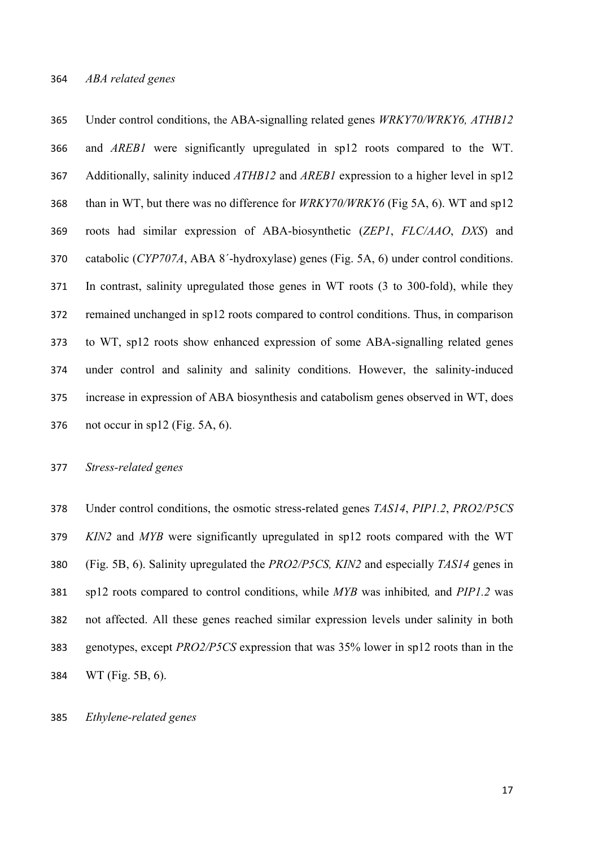Under control conditions, the ABA-signalling related genes *WRKY70/WRKY6, ATHB12* and *AREB1* were significantly upregulated in sp12 roots compared to the WT. Additionally, salinity induced *ATHB12* and *AREB1* expression to a higher level in sp12 than in WT, but there was no difference for *WRKY70/WRKY6* (Fig 5A, 6). WT and sp12 roots had similar expression of ABA-biosynthetic (*ZEP1*, *FLC/AAO*, *DXS*) and catabolic (*CYP707A*, ABA 8ˊ-hydroxylase) genes (Fig. 5A, 6) under control conditions. In contrast, salinity upregulated those genes in WT roots (3 to 300-fold), while they remained unchanged in sp12 roots compared to control conditions. Thus, in comparison to WT, sp12 roots show enhanced expression of some ABA-signalling related genes under control and salinity and salinity conditions. However, the salinity-induced increase in expression of ABA biosynthesis and catabolism genes observed in WT, does not occur in sp12 (Fig. 5A, 6).

#### *Stress-related genes*

 Under control conditions, the osmotic stress-related genes *TAS14*, *PIP1.2*, *PRO2/P5CS KIN2* and *MYB* were significantly upregulated in sp12 roots compared with the WT (Fig. 5B, 6). Salinity upregulated the *PRO2/P5CS, KIN2* and especially *TAS14* genes in sp12 roots compared to control conditions, while *MYB* was inhibited*,* and *PIP1.2* was not affected. All these genes reached similar expression levels under salinity in both genotypes, except *PRO2/P5CS* expression that was 35% lower in sp12 roots than in the WT (Fig. 5B, 6).

#### *Ethylene-related genes*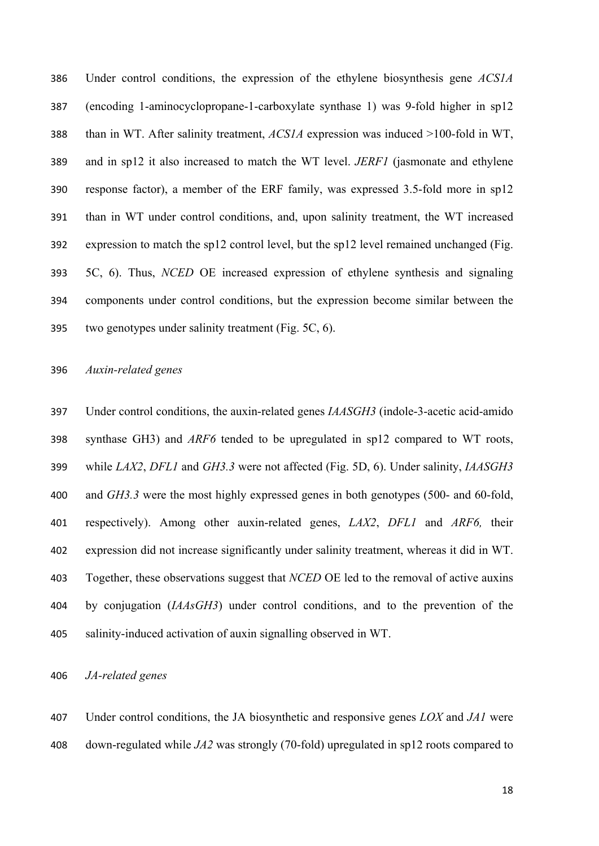Under control conditions, the expression of the ethylene biosynthesis gene *ACS1A* (encoding 1-aminocyclopropane-1-carboxylate synthase 1) was 9-fold higher in sp12 than in WT. After salinity treatment, *ACS1A* expression was induced >100-fold in WT, and in sp12 it also increased to match the WT level. *JERF1* (jasmonate and ethylene response factor), a member of the ERF family, was expressed 3.5-fold more in sp12 than in WT under control conditions, and, upon salinity treatment, the WT increased expression to match the sp12 control level, but the sp12 level remained unchanged (Fig. 5C, 6). Thus, *NCED* OE increased expression of ethylene synthesis and signaling components under control conditions, but the expression become similar between the two genotypes under salinity treatment (Fig. 5C, 6).

#### *Auxin-related genes*

 Under control conditions, the auxin-related genes *IAASGH3* (indole-3-acetic acid-amido synthase GH3) and *ARF6* tended to be upregulated in sp12 compared to WT roots, while *LAX2*, *DFL1* and *GH3.3* were not affected (Fig. 5D, 6). Under salinity, *IAASGH3* and *GH3.3* were the most highly expressed genes in both genotypes (500- and 60-fold, respectively). Among other auxin-related genes, *LAX2*, *DFL1* and *ARF6,* their expression did not increase significantly under salinity treatment, whereas it did in WT. Together, these observations suggest that *NCED* OE led to the removal of active auxins by conjugation (*IAAsGH3*) under control conditions, and to the prevention of the salinity-induced activation of auxin signalling observed in WT.

*JA-related genes*

 Under control conditions, the JA biosynthetic and responsive genes *LOX* and *JA1* were down-regulated while *JA2* was strongly (70-fold) upregulated in sp12 roots compared to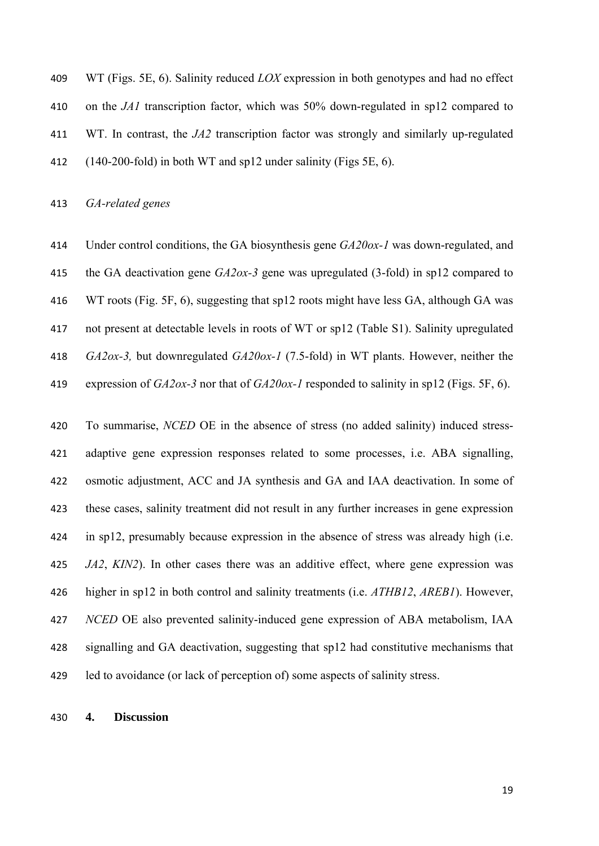WT (Figs. 5E, 6). Salinity reduced *LOX* expression in both genotypes and had no effect on the *JA1* transcription factor, which was 50% down-regulated in sp12 compared to WT. In contrast, the *JA2* transcription factor was strongly and similarly up-regulated (140-200-fold) in both WT and sp12 under salinity (Figs 5E, 6).

*GA-related genes*

 Under control conditions, the GA biosynthesis gene *GA20ox-1* was down-regulated, and the GA deactivation gene *GA2ox-3* gene was upregulated (3-fold) in sp12 compared to WT roots (Fig. 5F, 6), suggesting that sp12 roots might have less GA, although GA was not present at detectable levels in roots of WT or sp12 (Table S1). Salinity upregulated *GA2ox-3,* but downregulated *GA20ox-1* (7.5-fold) in WT plants. However, neither the expression of *GA2ox-3* nor that of *GA20ox-1* responded to salinity in sp12 (Figs. 5F, 6).

 To summarise, *NCED* OE in the absence of stress (no added salinity) induced stress- adaptive gene expression responses related to some processes, i.e. ABA signalling, osmotic adjustment, ACC and JA synthesis and GA and IAA deactivation. In some of these cases, salinity treatment did not result in any further increases in gene expression in sp12, presumably because expression in the absence of stress was already high (i.e. *JA2*, *KIN2*). In other cases there was an additive effect, where gene expression was higher in sp12 in both control and salinity treatments (i.e. *ATHB12*, *AREB1*). However, *NCED* OE also prevented salinity-induced gene expression of ABA metabolism, IAA signalling and GA deactivation, suggesting that sp12 had constitutive mechanisms that led to avoidance (or lack of perception of) some aspects of salinity stress.

#### **4. Discussion**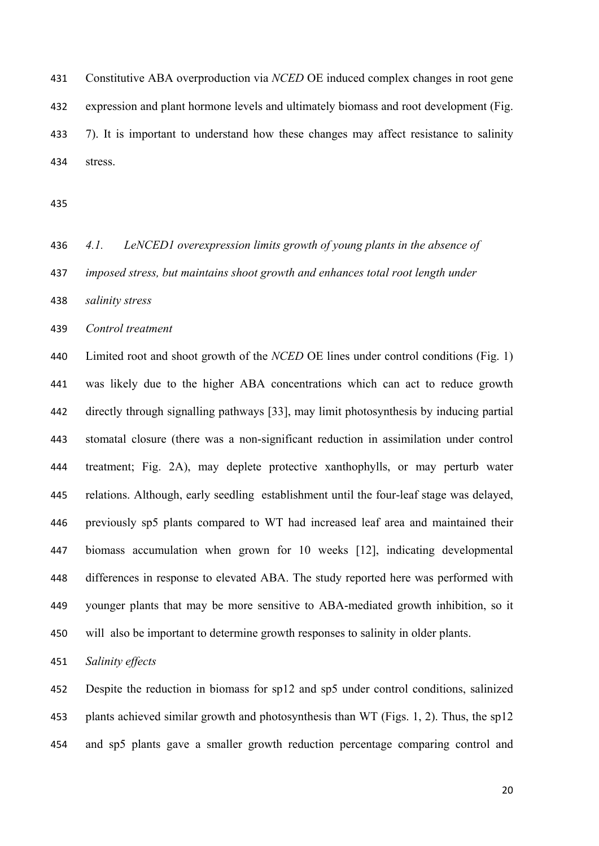Constitutive ABA overproduction via *NCED* OE induced complex changes in root gene expression and plant hormone levels and ultimately biomass and root development (Fig. 7). It is important to understand how these changes may affect resistance to salinity stress.

 *4.1. LeNCED1 overexpression limits growth of young plants in the absence of imposed stress, but maintains shoot growth and enhances total root length under* 

*salinity stress* 

*Control treatment* 

 Limited root and shoot growth of the *NCED* OE lines under control conditions (Fig. 1) was likely due to the higher ABA concentrations which can act to reduce growth directly through signalling pathways [33], may limit photosynthesis by inducing partial stomatal closure (there was a non-significant reduction in assimilation under control treatment; Fig. 2A), may deplete protective xanthophylls, or may perturb water relations. Although, early seedling establishment until the four-leaf stage was delayed, previously sp5 plants compared to WT had increased leaf area and maintained their biomass accumulation when grown for 10 weeks [12], indicating developmental differences in response to elevated ABA. The study reported here was performed with younger plants that may be more sensitive to ABA-mediated growth inhibition, so it will also be important to determine growth responses to salinity in older plants.

*Salinity effects* 

 Despite the reduction in biomass for sp12 and sp5 under control conditions, salinized plants achieved similar growth and photosynthesis than WT (Figs. 1, 2). Thus, the sp12 and sp5 plants gave a smaller growth reduction percentage comparing control and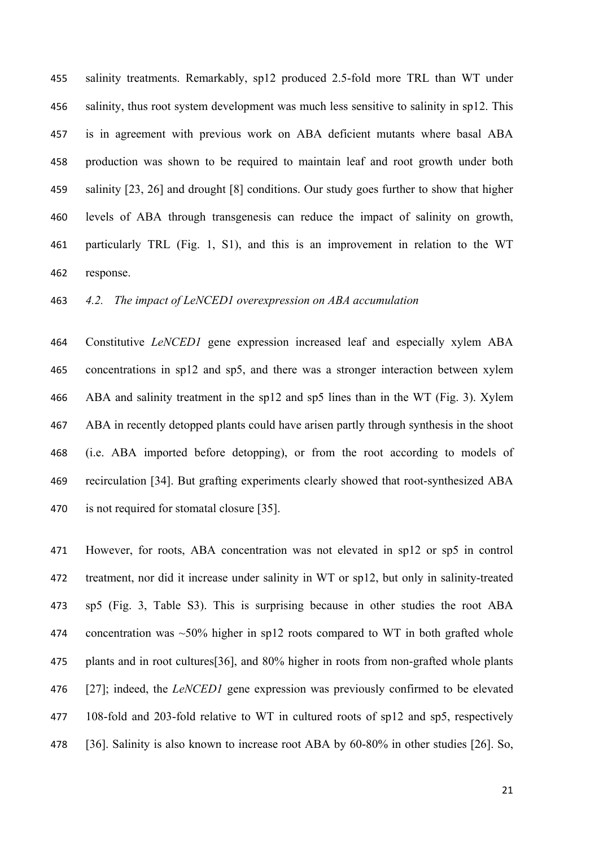salinity treatments. Remarkably, sp12 produced 2.5-fold more TRL than WT under salinity, thus root system development was much less sensitive to salinity in sp12. This is in agreement with previous work on ABA deficient mutants where basal ABA production was shown to be required to maintain leaf and root growth under both salinity [23, 26] and drought [8] conditions. Our study goes further to show that higher levels of ABA through transgenesis can reduce the impact of salinity on growth, particularly TRL (Fig. 1, S1), and this is an improvement in relation to the WT response.

*4.2. The impact of LeNCED1 overexpression on ABA accumulation* 

 Constitutive *LeNCED1* gene expression increased leaf and especially xylem ABA concentrations in sp12 and sp5, and there was a stronger interaction between xylem ABA and salinity treatment in the sp12 and sp5 lines than in the WT (Fig. 3). Xylem ABA in recently detopped plants could have arisen partly through synthesis in the shoot (i.e. ABA imported before detopping), or from the root according to models of recirculation [34]. But grafting experiments clearly showed that root-synthesized ABA is not required for stomatal closure [35].

 However, for roots, ABA concentration was not elevated in sp12 or sp5 in control treatment, nor did it increase under salinity in WT or sp12, but only in salinity-treated sp5 (Fig. 3, Table S3). This is surprising because in other studies the root ABA 474 concentration was  $\sim$ 50% higher in sp12 roots compared to WT in both grafted whole plants and in root cultures[36], and 80% higher in roots from non-grafted whole plants [27]; indeed, the *LeNCED1* gene expression was previously confirmed to be elevated 108-fold and 203-fold relative to WT in cultured roots of sp12 and sp5, respectively 478 [36]. Salinity is also known to increase root ABA by 60-80% in other studies [26]. So,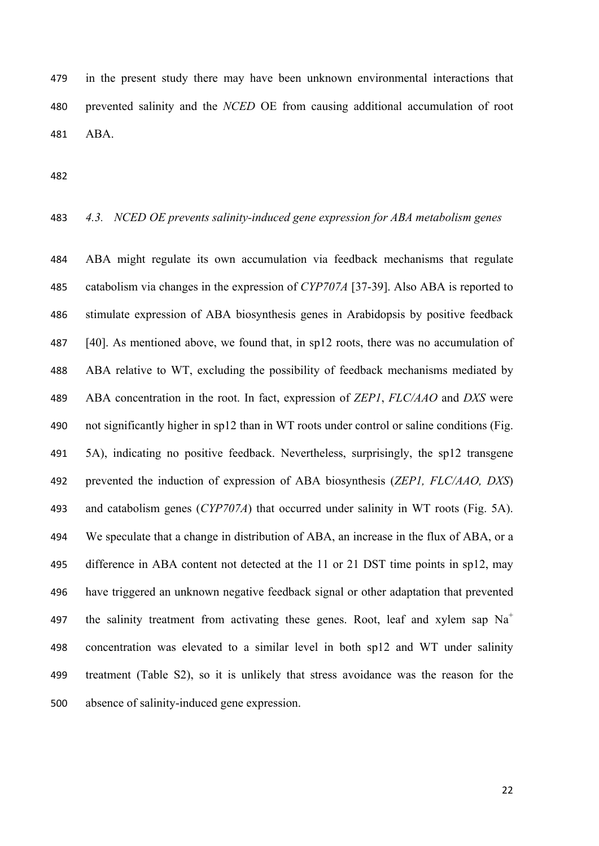in the present study there may have been unknown environmental interactions that prevented salinity and the *NCED* OE from causing additional accumulation of root ABA.

#### *4.3. NCED OE prevents salinity-induced gene expression for ABA metabolism genes*

 ABA might regulate its own accumulation via feedback mechanisms that regulate catabolism via changes in the expression of *CYP707A* [37-39]. Also ABA is reported to stimulate expression of ABA biosynthesis genes in Arabidopsis by positive feedback [40]. As mentioned above, we found that, in sp12 roots, there was no accumulation of ABA relative to WT, excluding the possibility of feedback mechanisms mediated by ABA concentration in the root. In fact, expression of *ZEP1*, *FLC/AAO* and *DXS* were not significantly higher in sp12 than in WT roots under control or saline conditions (Fig. 5A), indicating no positive feedback. Nevertheless, surprisingly, the sp12 transgene prevented the induction of expression of ABA biosynthesis (*ZEP1, FLC/AAO, DXS*) and catabolism genes (*CYP707A*) that occurred under salinity in WT roots (Fig. 5A). We speculate that a change in distribution of ABA, an increase in the flux of ABA, or a difference in ABA content not detected at the 11 or 21 DST time points in sp12, may have triggered an unknown negative feedback signal or other adaptation that prevented 497 the salinity treatment from activating these genes. Root, leaf and xylem sap  $Na<sup>+</sup>$  concentration was elevated to a similar level in both sp12 and WT under salinity treatment (Table S2), so it is unlikely that stress avoidance was the reason for the absence of salinity-induced gene expression.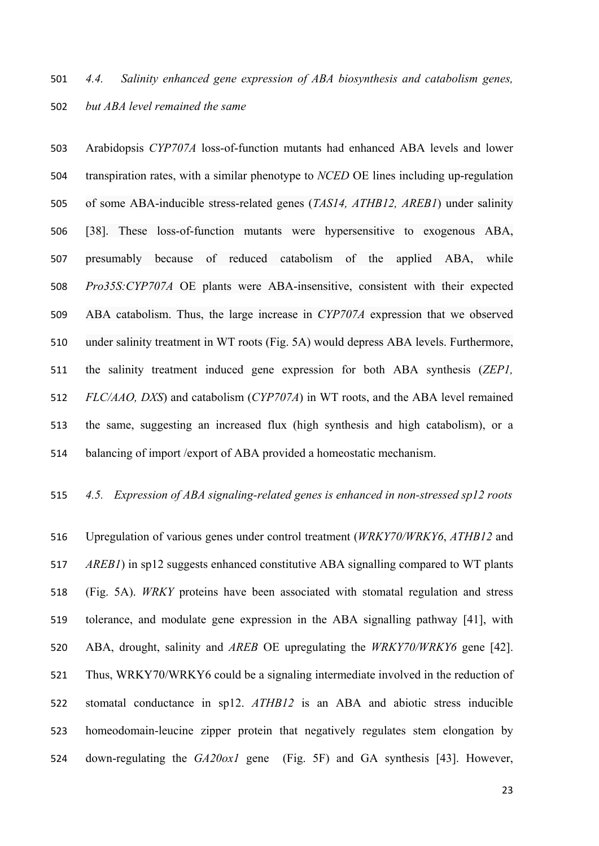Arabidopsis *CYP707A* loss-of-function mutants had enhanced ABA levels and lower transpiration rates, with a similar phenotype to *NCED* OE lines including up-regulation of some ABA-inducible stress-related genes (*TAS14, ATHB12, AREB1*) under salinity [38]. These loss-of-function mutants were hypersensitive to exogenous ABA, presumably because of reduced catabolism of the applied ABA, while *Pro35S:CYP707A* OE plants were ABA-insensitive, consistent with their expected ABA catabolism. Thus, the large increase in *CYP707A* expression that we observed under salinity treatment in WT roots (Fig. 5A) would depress ABA levels. Furthermore, the salinity treatment induced gene expression for both ABA synthesis (*ZEP1, FLC/AAO, DXS*) and catabolism (*CYP707A*) in WT roots, and the ABA level remained the same, suggesting an increased flux (high synthesis and high catabolism), or a balancing of import /export of ABA provided a homeostatic mechanism.

### *4.5. Expression of ABA signaling-related genes is enhanced in non-stressed sp12 roots*

 Upregulation of various genes under control treatment (*WRKY70/WRKY6*, *ATHB12* and *AREB1*) in sp12 suggests enhanced constitutive ABA signalling compared to WT plants (Fig. 5A). *WRKY* proteins have been associated with stomatal regulation and stress tolerance, and modulate gene expression in the ABA signalling pathway [41], with ABA, drought, salinity and *AREB* OE upregulating the *WRKY70/WRKY6* gene [42]. Thus, WRKY70/WRKY6 could be a signaling intermediate involved in the reduction of stomatal conductance in sp12. *ATHB12* is an ABA and abiotic stress inducible homeodomain-leucine zipper protein that negatively regulates stem elongation by down-regulating the *GA20ox1* gene (Fig. 5F) and GA synthesis [43]. However,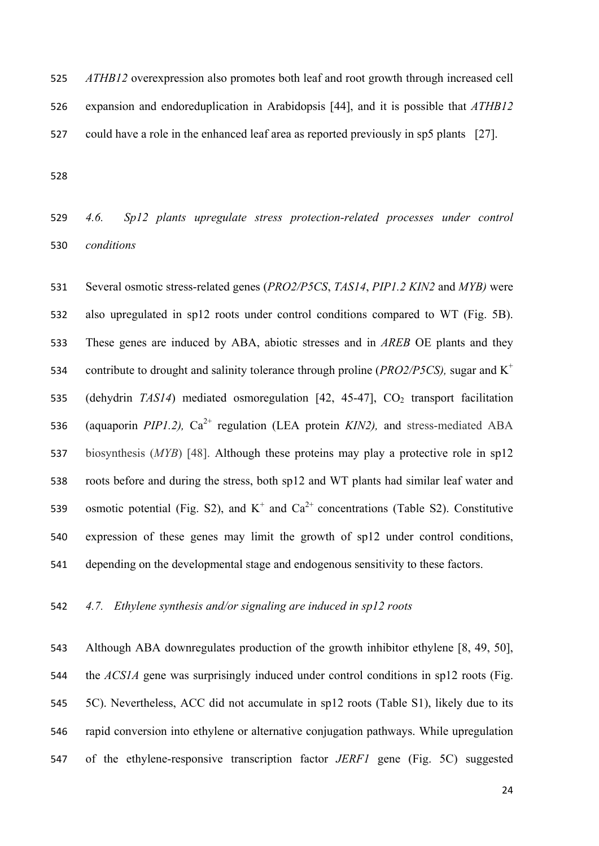*ATHB12* overexpression also promotes both leaf and root growth through increased cell expansion and endoreduplication in Arabidopsis [44], and it is possible that *ATHB12* could have a role in the enhanced leaf area as reported previously in sp5 plants [27].

 *4.6. Sp12 plants upregulate stress protection-related processes under control conditions* 

 Several osmotic stress-related genes (*PRO2/P5CS*, *TAS14*, *PIP1.2 KIN2* and *MYB)* were also upregulated in sp12 roots under control conditions compared to WT (Fig. 5B). These genes are induced by ABA, abiotic stresses and in *AREB* OE plants and they 534 contribute to drought and salinity tolerance through proline *(PRO2/P5CS)*, sugar and K<sup>+</sup> 535 (dehydrin *TAS14*) mediated osmoregulation [42, 45-47], CO<sub>2</sub> transport facilitation 536 (aquaporin *PIP1.2)*,  $Ca^{2+}$  regulation (LEA protein *KIN2)*, and stress-mediated ABA biosynthesis (*MYB*) [48]. Although these proteins may play a protective role in sp12 roots before and during the stress, both sp12 and WT plants had similar leaf water and 539 osmotic potential (Fig. S2), and  $K^+$  and  $Ca^{2+}$  concentrations (Table S2). Constitutive expression of these genes may limit the growth of sp12 under control conditions, depending on the developmental stage and endogenous sensitivity to these factors.

*4.7. Ethylene synthesis and/or signaling are induced in sp12 roots* 

 Although ABA downregulates production of the growth inhibitor ethylene [8, 49, 50], the *ACS1A* gene was surprisingly induced under control conditions in sp12 roots (Fig. 5C). Nevertheless, ACC did not accumulate in sp12 roots (Table S1), likely due to its rapid conversion into ethylene or alternative conjugation pathways. While upregulation of the ethylene-responsive transcription factor *JERF1* gene (Fig. 5C) suggested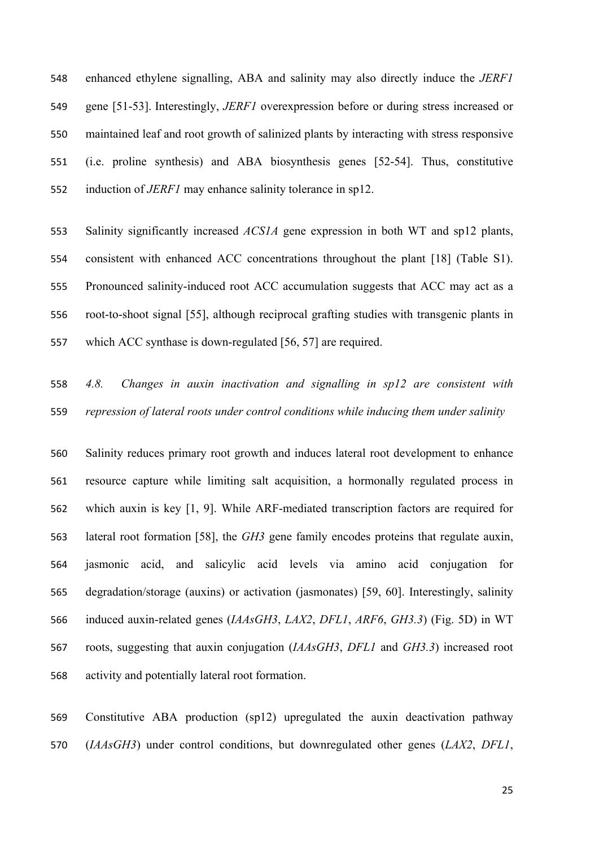enhanced ethylene signalling, ABA and salinity may also directly induce the *JERF1* gene [51-53]. Interestingly, *JERF1* overexpression before or during stress increased or maintained leaf and root growth of salinized plants by interacting with stress responsive (i.e. proline synthesis) and ABA biosynthesis genes [52-54]. Thus, constitutive induction of *JERF1* may enhance salinity tolerance in sp12.

 Salinity significantly increased *ACS1A* gene expression in both WT and sp12 plants, consistent with enhanced ACC concentrations throughout the plant [18] (Table S1). Pronounced salinity-induced root ACC accumulation suggests that ACC may act as a root-to-shoot signal [55], although reciprocal grafting studies with transgenic plants in which ACC synthase is down-regulated [56, 57] are required.

 *4.8. Changes in auxin inactivation and signalling in sp12 are consistent with repression of lateral roots under control conditions while inducing them under salinity* 

 Salinity reduces primary root growth and induces lateral root development to enhance resource capture while limiting salt acquisition, a hormonally regulated process in which auxin is key [1, 9]. While ARF-mediated transcription factors are required for lateral root formation [58], the *GH3* gene family encodes proteins that regulate auxin, jasmonic acid, and salicylic acid levels via amino acid conjugation for degradation/storage (auxins) or activation (jasmonates) [59, 60]. Interestingly, salinity induced auxin-related genes (*IAAsGH3*, *LAX2*, *DFL1*, *ARF6*, *GH3.3*) (Fig. 5D) in WT roots, suggesting that auxin conjugation (*IAAsGH3*, *DFL1* and *GH3.3*) increased root activity and potentially lateral root formation.

 Constitutive ABA production (sp12) upregulated the auxin deactivation pathway (*IAAsGH3*) under control conditions, but downregulated other genes (*LAX2*, *DFL1*,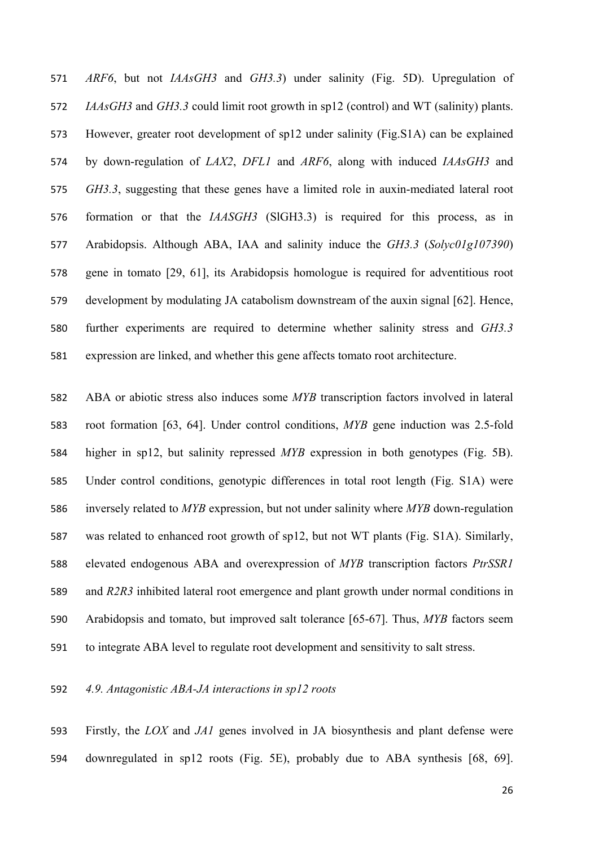*ARF6*, but not *IAAsGH3* and *GH3.3*) under salinity (Fig. 5D). Upregulation of *IAAsGH3* and *GH3.3* could limit root growth in sp12 (control) and WT (salinity) plants. However, greater root development of sp12 under salinity (Fig.S1A) can be explained by down-regulation of *LAX2*, *DFL1* and *ARF6*, along with induced *IAAsGH3* and *GH3.3*, suggesting that these genes have a limited role in auxin-mediated lateral root formation or that the *IAASGH3* (SlGH3.3) is required for this process, as in Arabidopsis. Although ABA, IAA and salinity induce the *GH3.3* (*Solyc01g107390*) gene in tomato [29, 61], its Arabidopsis homologue is required for adventitious root development by modulating JA catabolism downstream of the auxin signal [62]. Hence, further experiments are required to determine whether salinity stress and *GH3.3* expression are linked, and whether this gene affects tomato root architecture.

 ABA or abiotic stress also induces some *MYB* transcription factors involved in lateral root formation [63, 64]. Under control conditions, *MYB* gene induction was 2.5-fold higher in sp12, but salinity repressed *MYB* expression in both genotypes (Fig. 5B). Under control conditions, genotypic differences in total root length (Fig. S1A) were inversely related to *MYB* expression, but not under salinity where *MYB* down-regulation was related to enhanced root growth of sp12, but not WT plants (Fig. S1A). Similarly, elevated endogenous ABA and overexpression of *MYB* transcription factors *PtrSSR1* and *R2R3* inhibited lateral root emergence and plant growth under normal conditions in Arabidopsis and tomato, but improved salt tolerance [65-67]. Thus, *MYB* factors seem to integrate ABA level to regulate root development and sensitivity to salt stress.

#### *4.9. Antagonistic ABA-JA interactions in sp12 roots*

 Firstly, the *LOX* and *JA1* genes involved in JA biosynthesis and plant defense were downregulated in sp12 roots (Fig. 5E), probably due to ABA synthesis [68, 69].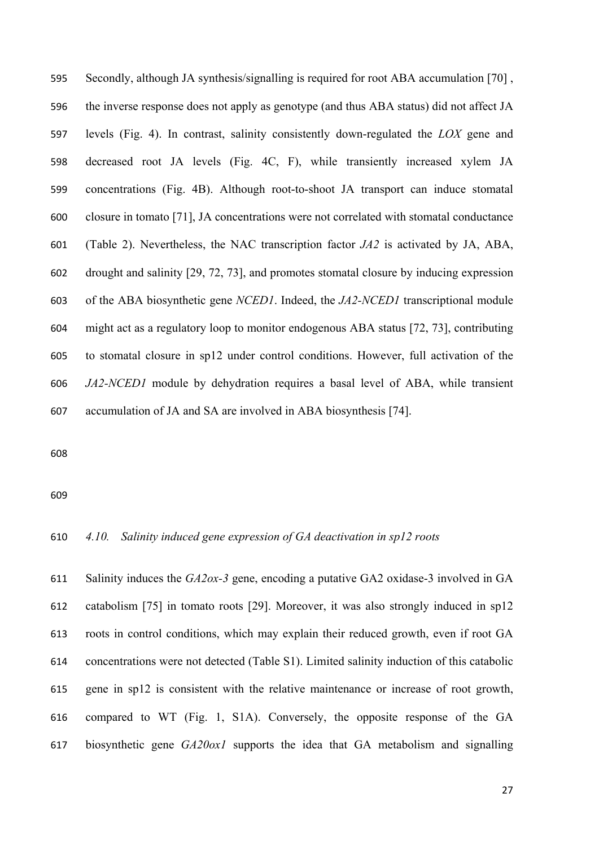Secondly, although JA synthesis/signalling is required for root ABA accumulation [70] , the inverse response does not apply as genotype (and thus ABA status) did not affect JA levels (Fig. 4). In contrast, salinity consistently down-regulated the *LOX* gene and decreased root JA levels (Fig. 4C, F), while transiently increased xylem JA concentrations (Fig. 4B). Although root-to-shoot JA transport can induce stomatal closure in tomato [71], JA concentrations were not correlated with stomatal conductance (Table 2). Nevertheless, the NAC transcription factor *JA2* is activated by JA, ABA, drought and salinity [29, 72, 73], and promotes stomatal closure by inducing expression of the ABA biosynthetic gene *NCED1*. Indeed, the *JA2-NCED1* transcriptional module might act as a regulatory loop to monitor endogenous ABA status [72, 73], contributing to stomatal closure in sp12 under control conditions. However, full activation of the *JA2-NCED1* module by dehydration requires a basal level of ABA, while transient accumulation of JA and SA are involved in ABA biosynthesis [74].

#### *4.10. Salinity induced gene expression of GA deactivation in sp12 roots*

 Salinity induces the *GA2ox-3* gene, encoding a putative GA2 oxidase-3 involved in GA catabolism [75] in tomato roots [29]. Moreover, it was also strongly induced in sp12 roots in control conditions, which may explain their reduced growth, even if root GA concentrations were not detected (Table S1). Limited salinity induction of this catabolic gene in sp12 is consistent with the relative maintenance or increase of root growth, compared to WT (Fig. 1, S1A). Conversely, the opposite response of the GA biosynthetic gene *GA20ox1* supports the idea that GA metabolism and signalling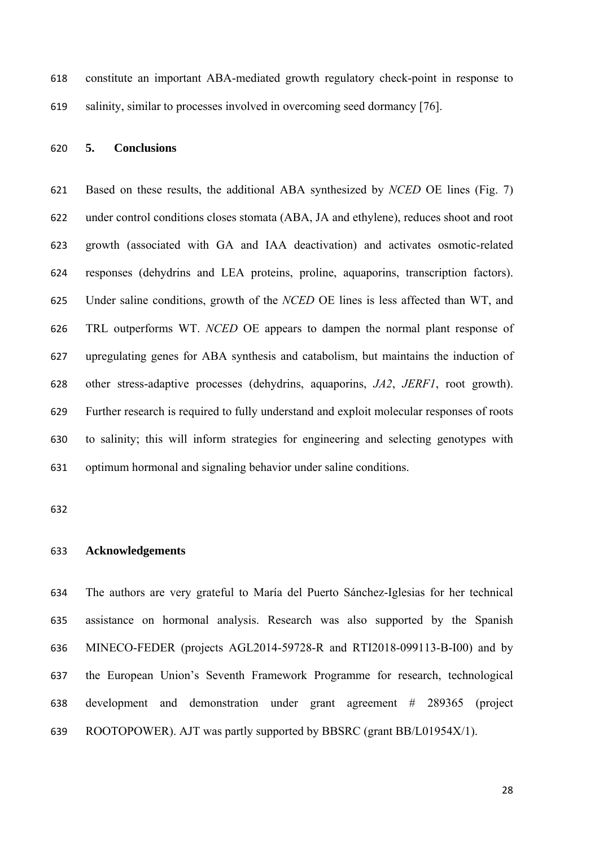constitute an important ABA-mediated growth regulatory check-point in response to salinity, similar to processes involved in overcoming seed dormancy [76].

#### **5. Conclusions**

 Based on these results, the additional ABA synthesized by *NCED* OE lines (Fig. 7) under control conditions closes stomata (ABA, JA and ethylene), reduces shoot and root growth (associated with GA and IAA deactivation) and activates osmotic-related responses (dehydrins and LEA proteins, proline, aquaporins, transcription factors). Under saline conditions, growth of the *NCED* OE lines is less affected than WT, and TRL outperforms WT. *NCED* OE appears to dampen the normal plant response of upregulating genes for ABA synthesis and catabolism, but maintains the induction of other stress-adaptive processes (dehydrins, aquaporins, *JA2*, *JERF1*, root growth). Further research is required to fully understand and exploit molecular responses of roots to salinity; this will inform strategies for engineering and selecting genotypes with optimum hormonal and signaling behavior under saline conditions.

#### **Acknowledgements**

 The authors are very grateful to María del Puerto Sánchez-Iglesias for her technical assistance on hormonal analysis. Research was also supported by the Spanish MINECO-FEDER (projects AGL2014-59728-R and RTI2018-099113-B-I00) and by the European Union's Seventh Framework Programme for research, technological development and demonstration under grant agreement # 289365 (project ROOTOPOWER). AJT was partly supported by BBSRC (grant BB/L01954X/1).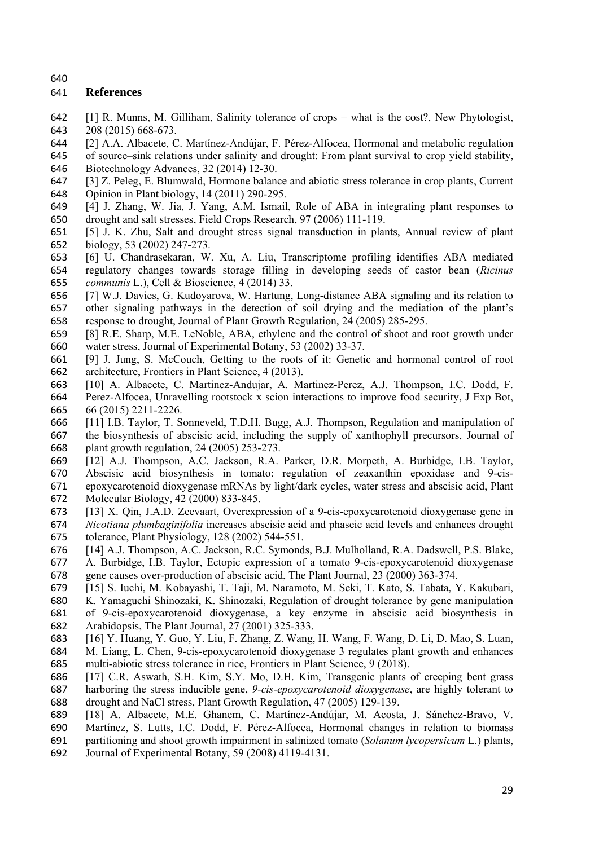### **References**

- [1] R. Munns, M. Gilliham, Salinity tolerance of crops what is the cost?, New Phytologist, 208 (2015) 668-673.
- [2] A.A. Albacete, C. Martínez-Andújar, F. Pérez-Alfocea, Hormonal and metabolic regulation

 of source–sink relations under salinity and drought: From plant survival to crop yield stability, 646 Biotechnology Advances, 32 (2014) 12-30.<br>647 [3] Z. Peleg. E. Blumwald. Hormone balance

- [3] Z. Peleg, E. Blumwald, Hormone balance and abiotic stress tolerance in crop plants, Current Opinion in Plant biology, 14 (2011) 290-295.
- [4] J. Zhang, W. Jia, J. Yang, A.M. Ismail, Role of ABA in integrating plant responses to drought and salt stresses, Field Crops Research, 97 (2006) 111-119.
- [5] J. K. Zhu, Salt and drought stress signal transduction in plants, Annual review of plant biology, 53 (2002) 247-273.
- [6] U. Chandrasekaran, W. Xu, A. Liu, Transcriptome profiling identifies ABA mediated regulatory changes towards storage filling in developing seeds of castor bean (*Ricinus communis* L.), Cell & Bioscience, 4 (2014) 33.
- [7] W.J. Davies, G. Kudoyarova, W. Hartung, Long-distance ABA signaling and its relation to other signaling pathways in the detection of soil drying and the mediation of the plant's response to drought, Journal of Plant Growth Regulation, 24 (2005) 285-295.
- [8] R.E. Sharp, M.E. LeNoble, ABA, ethylene and the control of shoot and root growth under water stress, Journal of Experimental Botany, 53 (2002) 33-37.
- [9] J. Jung, S. McCouch, Getting to the roots of it: Genetic and hormonal control of root architecture, Frontiers in Plant Science, 4 (2013).
- [10] A. Albacete, C. Martinez-Andujar, A. Martinez-Perez, A.J. Thompson, I.C. Dodd, F. Perez-Alfocea, Unravelling rootstock x scion interactions to improve food security, J Exp Bot, 66 (2015) 2211-2226.
- [11] I.B. Taylor, T. Sonneveld, T.D.H. Bugg, A.J. Thompson, Regulation and manipulation of the biosynthesis of abscisic acid, including the supply of xanthophyll precursors, Journal of plant growth regulation, 24 (2005) 253-273.
- [12] A.J. Thompson, A.C. Jackson, R.A. Parker, D.R. Morpeth, A. Burbidge, I.B. Taylor, Abscisic acid biosynthesis in tomato: regulation of zeaxanthin epoxidase and 9-cis- epoxycarotenoid dioxygenase mRNAs by light/dark cycles, water stress and abscisic acid, Plant Molecular Biology, 42 (2000) 833-845.
- [13] X. Qin, J.A.D. Zeevaart, Overexpression of a 9-cis-epoxycarotenoid dioxygenase gene in *Nicotiana plumbaginifolia* increases abscisic acid and phaseic acid levels and enhances drought tolerance, Plant Physiology, 128 (2002) 544-551.
- [14] A.J. Thompson, A.C. Jackson, R.C. Symonds, B.J. Mulholland, R.A. Dadswell, P.S. Blake,
- A. Burbidge, I.B. Taylor, Ectopic expression of a tomato 9-cis-epoxycarotenoid dioxygenase gene causes over-production of abscisic acid, The Plant Journal, 23 (2000) 363-374.
- [15] S. Iuchi, M. Kobayashi, T. Taji, M. Naramoto, M. Seki, T. Kato, S. Tabata, Y. Kakubari,
- K. Yamaguchi Shinozaki, K. Shinozaki, Regulation of drought tolerance by gene manipulation of 9-cis-epoxycarotenoid dioxygenase, a key enzyme in abscisic acid biosynthesis in
- Arabidopsis, The Plant Journal, 27 (2001) 325-333.
- [16] Y. Huang, Y. Guo, Y. Liu, F. Zhang, Z. Wang, H. Wang, F. Wang, D. Li, D. Mao, S. Luan, M. Liang, L. Chen, 9-cis-epoxycarotenoid dioxygenase 3 regulates plant growth and enhances multi-abiotic stress tolerance in rice, Frontiers in Plant Science, 9 (2018).
- [17] C.R. Aswath, S.H. Kim, S.Y. Mo, D.H. Kim, Transgenic plants of creeping bent grass harboring the stress inducible gene, *9-cis-epoxycarotenoid dioxygenase*, are highly tolerant to drought and NaCl stress, Plant Growth Regulation, 47 (2005) 129-139.
- [18] A. Albacete, M.E. Ghanem, C. Martínez-Andújar, M. Acosta, J. Sánchez-Bravo, V.
- Martínez, S. Lutts, I.C. Dodd, F. Pérez-Alfocea, Hormonal changes in relation to biomass
- partitioning and shoot growth impairment in salinized tomato (*Solanum lycopersicum* L.) plants, Journal of Experimental Botany, 59 (2008) 4119-4131.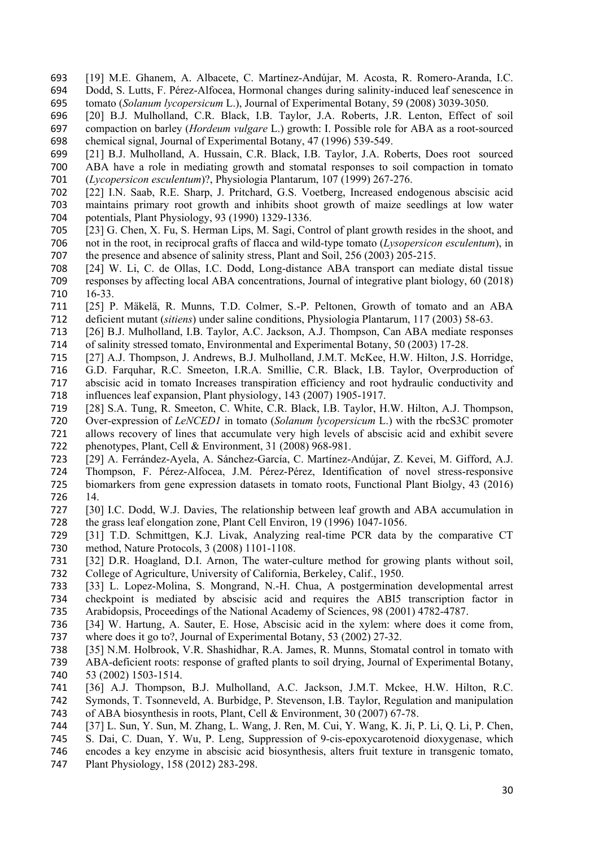- [19] M.E. Ghanem, A. Albacete, C. Martínez-Andújar, M. Acosta, R. Romero-Aranda, I.C. Dodd, S. Lutts, F. Pérez-Alfocea, Hormonal changes during salinity-induced leaf senescence in tomato (*Solanum lycopersicum* L.), Journal of Experimental Botany, 59 (2008) 3039-3050.
- [20] B.J. Mulholland, C.R. Black, I.B. Taylor, J.A. Roberts, J.R. Lenton, Effect of soil compaction on barley (*Hordeum vulgare* L.) growth: I. Possible role for ABA as a root-sourced chemical signal, Journal of Experimental Botany, 47 (1996) 539-549.
- [21] B.J. Mulholland, A. Hussain, C.R. Black, I.B. Taylor, J.A. Roberts, Does rootsourced ABA have a role in mediating growth and stomatal responses to soil compaction in tomato (*Lycopersicon esculentum*)?, Physiologia Plantarum, 107 (1999) 267-276.
- [22] I.N. Saab, R.E. Sharp, J. Pritchard, G.S. Voetberg, Increased endogenous abscisic acid maintains primary root growth and inhibits shoot growth of maize seedlings at low water 704 potentials, Plant Physiology, 93 (1990) 1329-1336.<br>705 [23] G. Chen, X. Fu, S. Herman Lips, M. Sagi, Cor
- [23] G. Chen, X. Fu, S. Herman Lips, M. Sagi, Control of plant growth resides in the shoot, and not in the root, in reciprocal grafts of flacca and wild-type tomato (*Lysopersicon esculentum*), in the presence and absence of salinity stress, Plant and Soil, 256 (2003) 205-215.
- [24] W. Li, C. de Ollas, I.C. Dodd, Long-distance ABA transport can mediate distal tissue responses by affecting local ABA concentrations, Journal of integrative plant biology, 60 (2018) 16-33.
- [25] P. Mäkelä, R. Munns, T.D. Colmer, S.-P. Peltonen, Growth of tomato and an ABA deficient mutant (*sitiens*) under saline conditions, Physiologia Plantarum, 117 (2003) 58-63.
- [26] B.J. Mulholland, I.B. Taylor, A.C. Jackson, A.J. Thompson, Can ABA mediate responses of salinity stressed tomato, Environmental and Experimental Botany, 50 (2003) 17-28.
- [27] A.J. Thompson, J. Andrews, B.J. Mulholland, J.M.T. McKee, H.W. Hilton, J.S. Horridge, G.D. Farquhar, R.C. Smeeton, I.R.A. Smillie, C.R. Black, I.B. Taylor, Overproduction of abscisic acid in tomato Increases transpiration efficiency and root hydraulic conductivity and influences leaf expansion, Plant physiology, 143 (2007) 1905-1917.
- [28] S.A. Tung, R. Smeeton, C. White, C.R. Black, I.B. Taylor, H.W. Hilton, A.J. Thompson, 720 Over-expression of *LeNCED1* in tomato (*Solanum lycopersicum* L.) with the rbcS3C promoter allows recovery of lines that accumulate very high levels of abscisic acid and exhibit severe 721 allows recovery of lines that accumulate very high levels of abscisic acid and exhibit severe<br>722 phenotypes, Plant, Cell & Environment, 31 (2008) 968-981. phenotypes, Plant, Cell  $& Environment, 31 (2008) 968-981.$
- [29] A. Ferrández-Ayela, A. Sánchez-García, C. Martínez-Andújar, Z. Kevei, M. Gifford, A.J. Thompson, F. Pérez-Alfocea, J.M. Pérez-Pérez, Identification of novel stress-responsive biomarkers from gene expression datasets in tomato roots, Functional Plant Biolgy, 43 (2016) 14.
- [30] I.C. Dodd, W.J. Davies, The relationship between leaf growth and ABA accumulation in 728 the grass leaf elongation zone, Plant Cell Environ, 19 (1996) 1047-1056.<br>729 [31] T.D. Schmittgen, K.J. Livak, Analyzing real-time PCR data by
- [31] T.D. Schmittgen, K.J. Livak, Analyzing real-time PCR data by the comparative CT method, Nature Protocols, 3 (2008) 1101-1108.
- [32] D.R. Hoagland, D.I. Arnon, The water-culture method for growing plants without soil, College of Agriculture, University of California, Berkeley, Calif., 1950.
- [33] L. Lopez-Molina, S. Mongrand, N.-H. Chua, A postgermination developmental arrest checkpoint is mediated by abscisic acid and requires the ABI5 transcription factor in Arabidopsis, Proceedings of the National Academy of Sciences, 98 (2001) 4782-4787.
- [34] W. Hartung, A. Sauter, E. Hose, Abscisic acid in the xylem: where does it come from, where does it go to?, Journal of Experimental Botany, 53 (2002) 27-32.
- [35] N.M. Holbrook, V.R. Shashidhar, R.A. James, R. Munns, Stomatal control in tomato with
- ABA-deficient roots: response of grafted plants to soil drying, Journal of Experimental Botany,
- 53 (2002) 1503-1514.
- [36] A.J. Thompson, B.J. Mulholland, A.C. Jackson, J.M.T. Mckee, H.W. Hilton, R.C. Symonds, T. Tsonneveld, A. Burbidge, P. Stevenson, I.B. Taylor, Regulation and manipulation
- of ABA biosynthesis in roots, Plant, Cell & Environment, 30 (2007) 67-78.
- [37] L. Sun, Y. Sun, M. Zhang, L. Wang, J. Ren, M. Cui, Y. Wang, K. Ji, P. Li, Q. Li, P. Chen,
- S. Dai, C. Duan, Y. Wu, P. Leng, Suppression of 9-cis-epoxycarotenoid dioxygenase, which
- encodes a key enzyme in abscisic acid biosynthesis, alters fruit texture in transgenic tomato,
- Plant Physiology, 158 (2012) 283-298.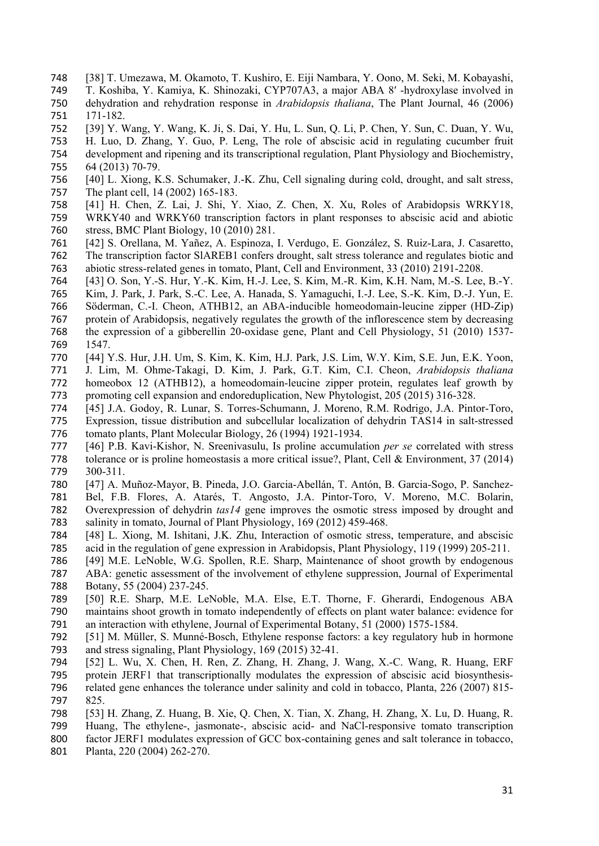- [38] T. Umezawa, M. Okamoto, T. Kushiro, E. Eiji Nambara, Y. Oono, M. Seki, M. Kobayashi,
- T. Koshiba, Y. Kamiya, K. Shinozaki, CYP707A3, a major ABA 8′ -hydroxylase involved in dehydration and rehydration response in *Arabidopsis thaliana*, The Plant Journal, 46 (2006) 171-182.
- [39] Y. Wang, Y. Wang, K. Ji, S. Dai, Y. Hu, L. Sun, Q. Li, P. Chen, Y. Sun, C. Duan, Y. Wu,
- H. Luo, D. Zhang, Y. Guo, P. Leng, The role of abscisic acid in regulating cucumber fruit development and ripening and its transcriptional regulation, Plant Physiology and Biochemistry,
- 64 (2013) 70-79.
- [40] L. Xiong, K.S. Schumaker, J.-K. Zhu, Cell signaling during cold, drought, and salt stress, The plant cell, 14 (2002) 165-183.
- [41] H. Chen, Z. Lai, J. Shi, Y. Xiao, Z. Chen, X. Xu, Roles of Arabidopsis WRKY18, WRKY40 and WRKY60 transcription factors in plant responses to abscisic acid and abiotic stress, BMC Plant Biology, 10 (2010) 281.
- [42] S. Orellana, M. Yañez, A. Espinoza, I. Verdugo, E. González, S. Ruiz-Lara, J. Casaretto, The transcription factor SlAREB1 confers drought, salt stress tolerance and regulates biotic and abiotic stress-related genes in tomato, Plant, Cell and Environment, 33 (2010) 2191-2208.
- [43] O. Son, Y.-S. Hur, Y.-K. Kim, H.-J. Lee, S. Kim, M.-R. Kim, K.H. Nam, M.-S. Lee, B.-Y.
- Kim, J. Park, J. Park, S.-C. Lee, A. Hanada, S. Yamaguchi, I.-J. Lee, S.-K. Kim, D.-J. Yun, E.
- Söderman, C.-I. Cheon, ATHB12, an ABA-inducible homeodomain-leucine zipper (HD-Zip)
- protein of Arabidopsis, negatively regulates the growth of the inflorescence stem by decreasing the expression of a gibberellin 20-oxidase gene, Plant and Cell Physiology, 51 (2010) 1537- 1547.
- [44] Y.S. Hur, J.H. Um, S. Kim, K. Kim, H.J. Park, J.S. Lim, W.Y. Kim, S.E. Jun, E.K. Yoon, J. Lim, M. Ohme-Takagi, D. Kim, J. Park, G.T. Kim, C.I. Cheon, *Arabidopsis thaliana* homeobox 12 (ATHB12), a homeodomain-leucine zipper protein, regulates leaf growth by promoting cell expansion and endoreduplication, New Phytologist, 205 (2015) 316-328.
- [45] J.A. Godoy, R. Lunar, S. Torres-Schumann, J. Moreno, R.M. Rodrigo, J.A. Pintor-Toro, Expression, tissue distribution and subcellular localization of dehydrin TAS14 in salt-stressed tomato plants, Plant Molecular Biology, 26 (1994) 1921-1934.
- [46] P.B. Kavi-Kishor, N. Sreenivasulu, Is proline accumulation *per se* correlated with stress tolerance or is proline homeostasis a more critical issue?, Plant, Cell & Environment, 37 (2014) 300-311.
- [47] A. Muñoz-Mayor, B. Pineda, J.O. Garcia-Abellán, T. Antón, B. Garcia-Sogo, P. Sanchez- Bel, F.B. Flores, A. Atarés, T. Angosto, J.A. Pintor-Toro, V. Moreno, M.C. Bolarin, Overexpression of dehydrin *tas14* gene improves the osmotic stress imposed by drought and 783 salinity in tomato, Journal of Plant Physiology, 169 (2012) 459-468.<br>784 [48] L. Xiong, M. Ishitani, J.K. Zhu, Interaction of osmotic stress
- [48] L. Xiong, M. Ishitani, J.K. Zhu, Interaction of osmotic stress, temperature, and abscisic acid in the regulation of gene expression in Arabidopsis, Plant Physiology, 119 (1999) 205-211.
- [49] M.E. LeNoble, W.G. Spollen, R.E. Sharp, Maintenance of shoot growth by endogenous
- ABA: genetic assessment of the involvement of ethylene suppression, Journal of Experimental Botany, 55 (2004) 237-245.
- [50] R.E. Sharp, M.E. LeNoble, M.A. Else, E.T. Thorne, F. Gherardi, Endogenous ABA maintains shoot growth in tomato independently of effects on plant water balance: evidence for an interaction with ethylene, Journal of Experimental Botany, 51 (2000) 1575-1584.
- [51] M. Müller, S. Munné-Bosch, Ethylene response factors: a key regulatory hub in hormone and stress signaling, Plant Physiology, 169 (2015) 32-41.
- [52] L. Wu, X. Chen, H. Ren, Z. Zhang, H. Zhang, J. Wang, X.-C. Wang, R. Huang, ERF protein JERF1 that transcriptionally modulates the expression of abscisic acid biosynthesis- related gene enhances the tolerance under salinity and cold in tobacco, Planta, 226 (2007) 815- 825.
- [53] H. Zhang, Z. Huang, B. Xie, Q. Chen, X. Tian, X. Zhang, H. Zhang, X. Lu, D. Huang, R.
- Huang, The ethylene-, jasmonate-, abscisic acid- and NaCl-responsive tomato transcription
- factor JERF1 modulates expression of GCC box-containing genes and salt tolerance in tobacco,
- Planta, 220 (2004) 262-270.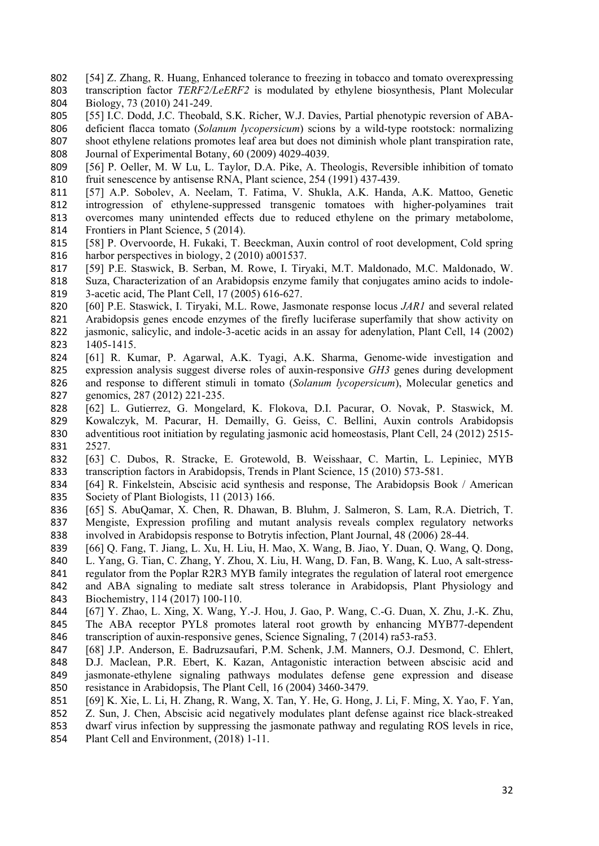- [54] Z. Zhang, R. Huang, Enhanced tolerance to freezing in tobacco and tomato overexpressing transcription factor *TERF2/LeERF2* is modulated by ethylene biosynthesis, Plant Molecular Biology, 73 (2010) 241-249.
- [55] I.C. Dodd, J.C. Theobald, S.K. Richer, W.J. Davies, Partial phenotypic reversion of ABA-
- deficient flacca tomato (*Solanum lycopersicum*) scions by a wild-type rootstock: normalizing
- shoot ethylene relations promotes leaf area but does not diminish whole plant transpiration rate, Journal of Experimental Botany, 60 (2009) 4029-4039.
- [56] P. Oeller, M. W Lu, L. Taylor, D.A. Pike, A. Theologis, Reversible inhibition of tomato fruit senescence by antisense RNA, Plant science, 254 (1991) 437-439.
- [57] A.P. Sobolev, A. Neelam, T. Fatima, V. Shukla, A.K. Handa, A.K. Mattoo, Genetic introgression of ethylene-suppressed transgenic tomatoes with higher-polyamines trait overcomes many unintended effects due to reduced ethylene on the primary metabolome, Frontiers in Plant Science, 5 (2014).
- [58] P. Overvoorde, H. Fukaki, T. Beeckman, Auxin control of root development, Cold spring harbor perspectives in biology, 2 (2010) a001537.
- [59] P.E. Staswick, B. Serban, M. Rowe, I. Tiryaki, M.T. Maldonado, M.C. Maldonado, W. Suza, Characterization of an Arabidopsis enzyme family that conjugates amino acids to indole-3-acetic acid, The Plant Cell, 17 (2005) 616-627.
- [60] P.E. Staswick, I. Tiryaki, M.L. Rowe, Jasmonate response locus *JAR1* and several related Arabidopsis genes encode enzymes of the firefly luciferase superfamily that show activity on jasmonic, salicylic, and indole-3-acetic acids in an assay for adenylation, Plant Cell, 14 (2002) 1405-1415.
- [61] R. Kumar, P. Agarwal, A.K. Tyagi, A.K. Sharma, Genome-wide investigation and expression analysis suggest diverse roles of auxin-responsive *GH3* genes during development and response to different stimuli in tomato (*Solanum lycopersicum*), Molecular genetics and genomics, 287 (2012) 221-235.
- [62] L. Gutierrez, G. Mongelard, K. Flokova, D.I. Pacurar, O. Novak, P. Staswick, M. 829 Kowalczyk, M. Pacurar, H. Demailly, G. Geiss, C. Bellini, Auxin controls Arabidopsis adventitious root initiation by regulating jasmonic acid homeostasis, Plant Cell, 24 (2012) 2515adventitious root initiation by regulating jasmonic acid homeostasis, Plant Cell, 24 (2012) 2515-2527.
- [63] C. Dubos, R. Stracke, E. Grotewold, B. Weisshaar, C. Martin, L. Lepiniec, MYB transcription factors in Arabidopsis, Trends in Plant Science, 15 (2010) 573-581.
- [64] R. Finkelstein, Abscisic acid synthesis and response, The Arabidopsis Book / American Society of Plant Biologists, 11 (2013) 166.
- [65] S. AbuQamar, X. Chen, R. Dhawan, B. Bluhm, J. Salmeron, S. Lam, R.A. Dietrich, T. 837 Mengiste, Expression profiling and mutant analysis reveals complex regulatory networks<br>838 involved in Arabidopsis response to Botrytis infection. Plant Journal, 48 (2006) 28-44. involved in Arabidopsis response to Botrytis infection, Plant Journal, 48 (2006) 28-44.
- [66] Q. Fang, T. Jiang, L. Xu, H. Liu, H. Mao, X. Wang, B. Jiao, Y. Duan, Q. Wang, Q. Dong,
- L. Yang, G. Tian, C. Zhang, Y. Zhou, X. Liu, H. Wang, D. Fan, B. Wang, K. Luo, A salt-stress-
- regulator from the Poplar R2R3 MYB family integrates the regulation of lateral root emergence and ABA signaling to mediate salt stress tolerance in Arabidopsis, Plant Physiology and Biochemistry, 114 (2017) 100-110.
- [67] Y. Zhao, L. Xing, X. Wang, Y.-J. Hou, J. Gao, P. Wang, C.-G. Duan, X. Zhu, J.-K. Zhu, The ABA receptor PYL8 promotes lateral root growth by enhancing MYB77-dependent transcription of auxin-responsive genes, Science Signaling, 7 (2014) ra53-ra53.
- [68] J.P. Anderson, E. Badruzsaufari, P.M. Schenk, J.M. Manners, O.J. Desmond, C. Ehlert, D.J. Maclean, P.R. Ebert, K. Kazan, Antagonistic interaction between abscisic acid and jasmonate-ethylene signaling pathways modulates defense gene expression and disease resistance in Arabidopsis, The Plant Cell, 16 (2004) 3460-3479.
- [69] K. Xie, L. Li, H. Zhang, R. Wang, X. Tan, Y. He, G. Hong, J. Li, F. Ming, X. Yao, F. Yan,
- Z. Sun, J. Chen, Abscisic acid negatively modulates plant defense against rice black-streaked
- dwarf virus infection by suppressing the jasmonate pathway and regulating ROS levels in rice,
- Plant Cell and Environment, (2018) 1-11.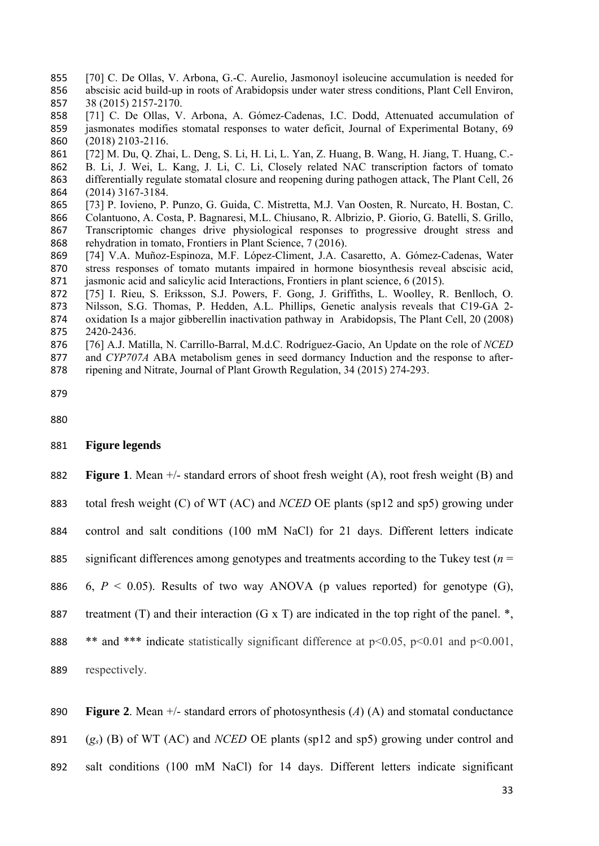- [70] C. De Ollas, V. Arbona, G.-C. Aurelio, Jasmonoyl isoleucine accumulation is needed for abscisic acid build-up in roots of Arabidopsis under water stress conditions, Plant Cell Environ, 38 (2015) 2157-2170.
- [71] C. De Ollas, V. Arbona, A. Gómez-Cadenas, I.C. Dodd, Attenuated accumulation of jasmonates modifies stomatal responses to water deficit, Journal of Experimental Botany, 69 (2018) 2103-2116.
- [72] M. Du, Q. Zhai, L. Deng, S. Li, H. Li, L. Yan, Z. Huang, B. Wang, H. Jiang, T. Huang, C.- B. Li, J. Wei, L. Kang, J. Li, C. Li, Closely related NAC transcription factors of tomato differentially regulate stomatal closure and reopening during pathogen attack, The Plant Cell, 26 (2014) 3167-3184.
- [73] P. Iovieno, P. Punzo, G. Guida, C. Mistretta, M.J. Van Oosten, R. Nurcato, H. Bostan, C. Colantuono, A. Costa, P. Bagnaresi, M.L. Chiusano, R. Albrizio, P. Giorio, G. Batelli, S. Grillo, Transcriptomic changes drive physiological responses to progressive drought stress and rehydration in tomato, Frontiers in Plant Science, 7 (2016).
- [74] V.A. Muñoz-Espinoza, M.F. López-Climent, J.A. Casaretto, A. Gómez-Cadenas, Water stress responses of tomato mutants impaired in hormone biosynthesis reveal abscisic acid, 871 jasmonic acid and salicylic acid Interactions, Frontiers in plant science, 6 (2015).
- [75] I. Rieu, S. Eriksson, S.J. Powers, F. Gong, J. Griffiths, L. Woolley, R. Benlloch, O. Nilsson, S.G. Thomas, P. Hedden, A.L. Phillips, Genetic analysis reveals that C19-GA 2- oxidation Is a major gibberellin inactivation pathway in Arabidopsis, The Plant Cell, 20 (2008) 2420-2436.
- [76] A.J. Matilla, N. Carrillo-Barral, M.d.C. Rodríguez-Gacio, An Update on the role of *NCED*
- and *CYP707A* ABA metabolism genes in seed dormancy Induction and the response to after-
- ripening and Nitrate, Journal of Plant Growth Regulation, 34 (2015) 274-293.

- **Figure legends**
- **Figure 1**. Mean +/- standard errors of shoot fresh weight (A), root fresh weight (B) and

total fresh weight (C) of WT (AC) and *NCED* OE plants (sp12 and sp5) growing under

control and salt conditions (100 mM NaCl) for 21 days. Different letters indicate

significant differences among genotypes and treatments according to the Tukey test (*n* =

- 886 6,  $P < 0.05$ ). Results of two way ANOVA (p values reported) for genotype (G),
- 887 treatment (T) and their interaction (G  $\overline{x}$  T) are indicated in the top right of the panel.  $\overline{x}$ .
- 888 \*\* and \*\*\* indicate statistically significant difference at p<0.05, p<0.01 and p<0.001,
- respectively.

**Figure 2**. Mean +/- standard errors of photosynthesis (*A*) (A) and stomatal conductance

(*gs*) (B) of WT (AC) and *NCED* OE plants (sp12 and sp5) growing under control and

salt conditions (100 mM NaCl) for 14 days. Different letters indicate significant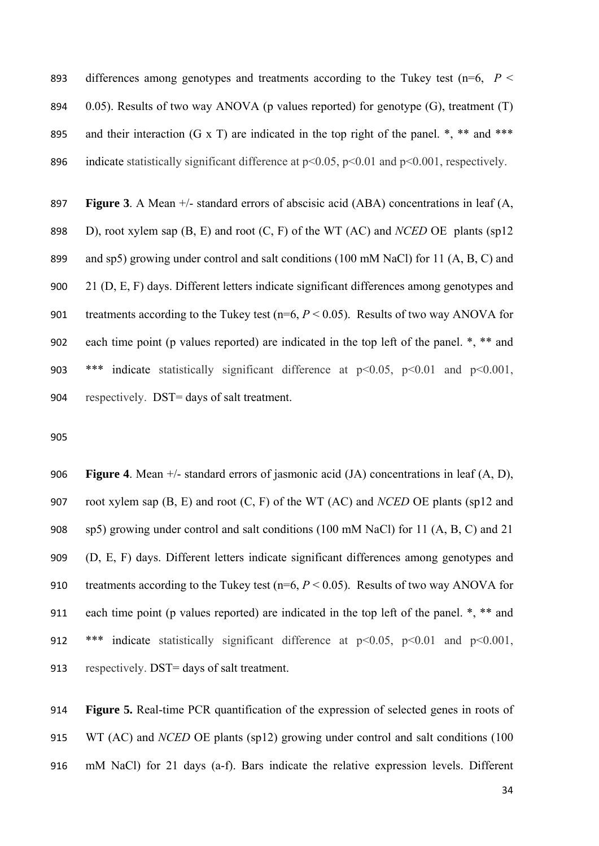893 differences among genotypes and treatments according to the Tukey test ( $n=6$ ,  $P <$ 894 0.05). Results of two way ANOVA (p values reported) for genotype  $(G)$ , treatment  $(T)$ 895 and their interaction (G x T) are indicated in the top right of the panel.  $*,$  \*\* and \*\*\* 896 indicate statistically significant difference at  $p<0.05$ ,  $p<0.01$  and  $p<0.001$ , respectively.

 **Figure 3**. A Mean +/- standard errors of abscisic acid (ABA) concentrations in leaf (A, D), root xylem sap (B, E) and root (C, F) of the WT (AC) and *NCED* OE plants (sp12 and sp5) growing under control and salt conditions (100 mM NaCl) for 11 (A, B, C) and 21 (D, E, F) days. Different letters indicate significant differences among genotypes and 901 treatments according to the Tukey test  $(n=6, P < 0.05)$ . Results of two way ANOVA for each time point (p values reported) are indicated in the top left of the panel. \*, \*\* and \*\*\* indicate statistically significant difference at p<0.05, p<0.01 and p<0.001, respectively. DST= days of salt treatment.

 **Figure 4**. Mean +/- standard errors of jasmonic acid (JA) concentrations in leaf (A, D), root xylem sap (B, E) and root (C, F) of the WT (AC) and *NCED* OE plants (sp12 and sp5) growing under control and salt conditions (100 mM NaCl) for 11 (A, B, C) and 21 (D, E, F) days. Different letters indicate significant differences among genotypes and 910 treatments according to the Tukey test (n=6,  $P < 0.05$ ). Results of two way ANOVA for each time point (p values reported) are indicated in the top left of the panel. \*, \*\* and \*\*\* indicate statistically significant difference at p<0.05, p<0.01 and p<0.001, respectively. DST= days of salt treatment.

 **Figure 5.** Real-time PCR quantification of the expression of selected genes in roots of WT (AC) and *NCED* OE plants (sp12) growing under control and salt conditions (100 mM NaCl) for 21 days (a-f). Bars indicate the relative expression levels. Different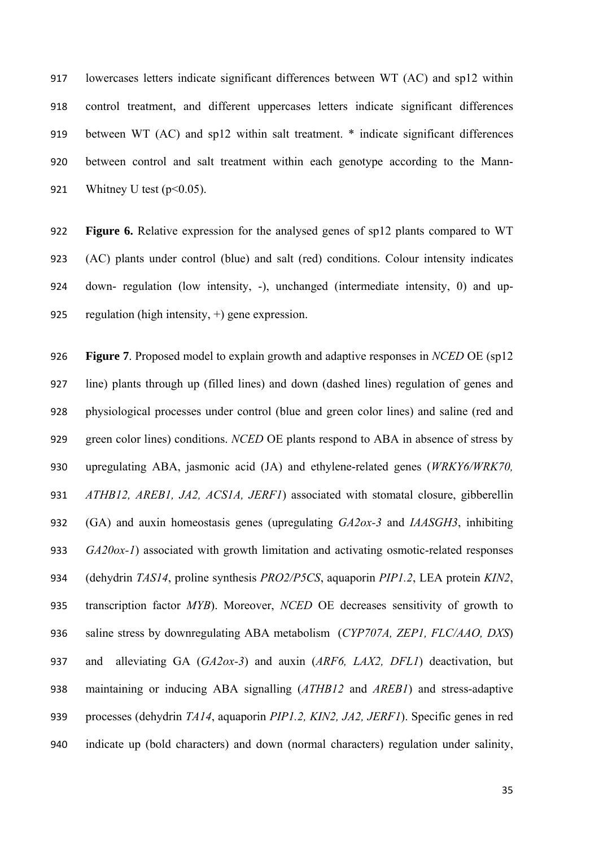lowercases letters indicate significant differences between WT (AC) and sp12 within control treatment, and different uppercases letters indicate significant differences between WT (AC) and sp12 within salt treatment. \* indicate significant differences between control and salt treatment within each genotype according to the Mann-921 Whitney U test  $(p<0.05)$ .

 **Figure 6.** Relative expression for the analysed genes of sp12 plants compared to WT (AC) plants under control (blue) and salt (red) conditions. Colour intensity indicates down- regulation (low intensity, -), unchanged (intermediate intensity, 0) and up-regulation (high intensity, +) gene expression.

 **Figure 7**. Proposed model to explain growth and adaptive responses in *NCED* OE (sp12 line) plants through up (filled lines) and down (dashed lines) regulation of genes and physiological processes under control (blue and green color lines) and saline (red and green color lines) conditions. *NCED* OE plants respond to ABA in absence of stress by upregulating ABA, jasmonic acid (JA) and ethylene-related genes (*WRKY6/WRK70, ATHB12, AREB1, JA2, ACS1A, JERF1*) associated with stomatal closure, gibberellin (GA) and auxin homeostasis genes (upregulating *GA2ox-3* and *IAASGH3*, inhibiting *GA20ox-1*) associated with growth limitation and activating osmotic-related responses (dehydrin *TAS14*, proline synthesis *PRO2/P5CS*, aquaporin *PIP1.2*, LEA protein *KIN2*, transcription factor *MYB*). Moreover, *NCED* OE decreases sensitivity of growth to saline stress by downregulating ABA metabolism (*CYP707A, ZEP1, FLC/AAO, DXS*) and alleviating GA (*GA2ox-3*) and auxin (*ARF6, LAX2, DFL1*) deactivation, but maintaining or inducing ABA signalling (*ATHB12* and *AREB1*) and stress-adaptive processes (dehydrin *TA14*, aquaporin *PIP1.2, KIN2, JA2, JERF1*). Specific genes in red indicate up (bold characters) and down (normal characters) regulation under salinity,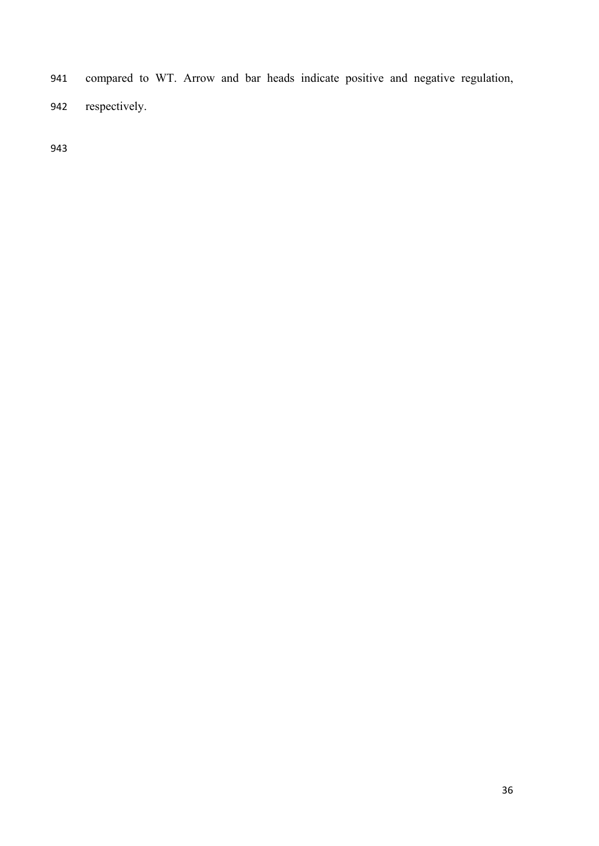- compared to WT. Arrow and bar heads indicate positive and negative regulation,
- respectively.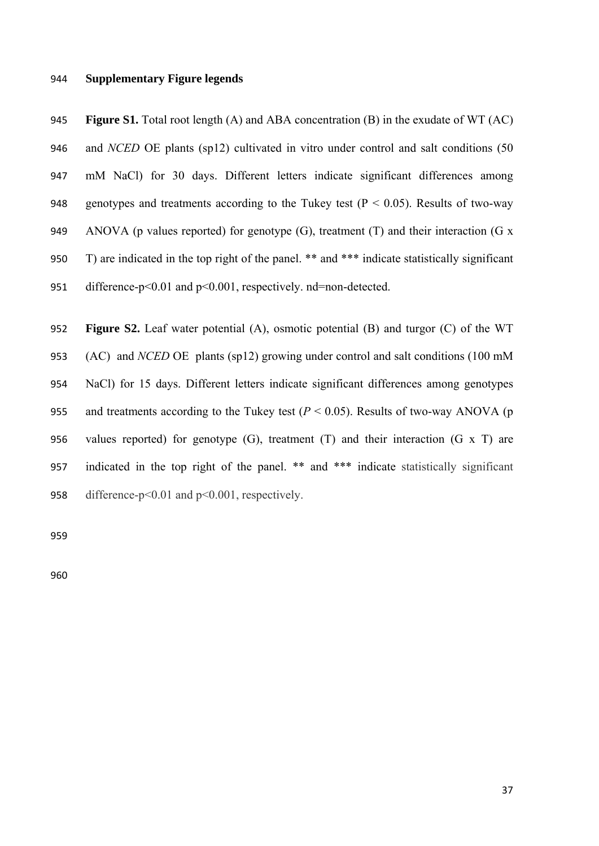#### **Supplementary Figure legends**

 **Figure S1.** Total root length (A) and ABA concentration (B) in the exudate of WT (AC) and *NCED* OE plants (sp12) cultivated in vitro under control and salt conditions (50 mM NaCl) for 30 days. Different letters indicate significant differences among 948 genotypes and treatments according to the Tukey test ( $P < 0.05$ ). Results of two-way 949 ANOVA (p values reported) for genotype  $(G)$ , treatment  $(T)$  and their interaction  $(G \times G)$  T) are indicated in the top right of the panel. \*\* and \*\*\* indicate statistically significant 951 difference-p<0.01 and p<0.001, respectively. nd=non-detected.

 **Figure S2.** Leaf water potential (A), osmotic potential (B) and turgor (C) of the WT (AC) and *NCED* OE plants (sp12) growing under control and salt conditions (100 mM NaCl) for 15 days. Different letters indicate significant differences among genotypes 955 and treatments according to the Tukey test  $(P < 0.05)$ . Results of two-way ANOVA (p values reported) for genotype (G), treatment (T) and their interaction (G x T) are indicated in the top right of the panel. \*\* and \*\*\* indicate statistically significant difference-p<0.01 and p<0.001, respectively.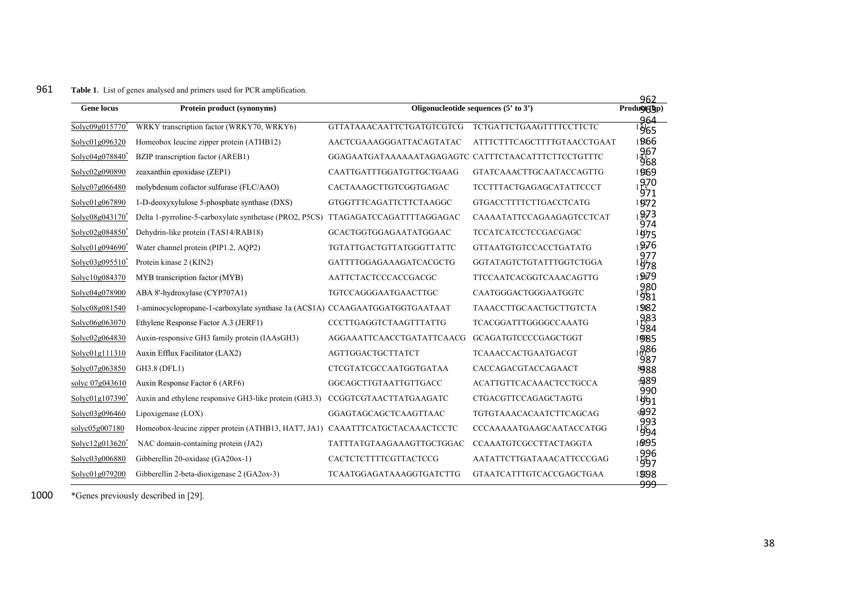#### 961**Table 1.** List of genes analysed and primers used for PCR amplification.

| <b>Gene locus</b>           | Protein product (synonyms)                                                       |                                                     | Oligonucleotide sequences $(5' \text{ to } 3')$ | 962<br>Produ <b>g</b> (bp)<br>964 |
|-----------------------------|----------------------------------------------------------------------------------|-----------------------------------------------------|-------------------------------------------------|-----------------------------------|
| Solyc09g015770              | WRKY transcription factor (WRKY70, WRKY6)                                        | GTTATAAACAATTCTGATGTCGTCG                           | <b>TCTGATTCTGAAGTTTTCCTTCTC</b>                 | $1\mathrm{\tilde{y}\tilde{b}5}$   |
| Solve01g096320              | Homeobox leucine zipper protein (ATHB12)                                         | AACTCGAAAGGGATTACAGTATAC                            | ATTTCTTTCAGCTTTTGTAACCTGAAT                     | 1966                              |
| Solyc04g078840 <sup>*</sup> | BZIP transcription factor (AREB1)                                                | GGAGAATGATAAAAAATAGAGAGTC CATTTCTAACATTTCTTCCTGTTTC |                                                 | 967<br>968                        |
| Solyc02g090890              | zeaxanthin epoxidase (ZEP1)                                                      | CAATTGATTTGGATGTTGCTGAAG                            | <b>GTATCAAACTTGCAATACCAGTTG</b>                 | 1969                              |
| Solyc07g066480              | molybdenum cofactor sulfurase (FLC/AAO)                                          | CACTAAAGCTTGTCGGTGAGAC                              | <b>TCCTTTACTGAGAGCATATTCCCT</b>                 | 970<br>971                        |
| Solyc01g067890              | 1-D-deoxyxylulose 5-phosphate synthase (DXS)                                     | GTGGTTTCAGATTCTTCTAAGGC                             | <b>GTGACCTTTTCTTGACCTCATG</b>                   | 1972                              |
| Solyc08g043170 <sup>*</sup> | Delta 1-pyrroline-5-carboxylate synthetase (PRO2, P5CS) TTAGAGATCCAGATTTTAGGAGAC |                                                     | CAAAATATTCCAGAAGAGTCCTCAT                       | 1973<br>974                       |
| Solyc02g084850 <sup>*</sup> | Dehydrin-like protein (TAS14/RAB18)                                              | GCACTGGTGGAGAATATGGAAC                              | <b>TCCATCATCCTCCGACGAGC</b>                     | 1075                              |
| $Solve01g094690^*$          | Water channel protein (PIP1.2, AOP2)                                             | TGTATTGACTGTTATGGGTTATTC                            | <b>GTTAATGTGTCCACCTGATATG</b>                   | 19976                             |
| Solve03g095510 <sup>*</sup> | Protein kinase 2 (KIN2)                                                          | GATTTTGGAGAAAGATCACGCTG                             | GGTATAGTCTGTATTTGGTCTGGA                        | 977<br><sup>  խ</sup> 78          |
| Solvc10g084370              | MYB transcription factor (MYB)                                                   | AATTCTACTCCCACCGACGC                                | TTCCAATCACGGTCAAACAGTTG                         | 19479                             |
| Solvc04g078900              | ABA 8'-hydroxylase (CYP707A1)                                                    | TGTCCAGGGAATGAACTTGC                                | CAATGGGACTGGGAATGGTC                            | 980<br>981                        |
| Solvc08g081540              | 1-aminocyclopropane-1-carboxylate synthase 1a (ACS1A) CCAAGAATGGATGGTGAATAAT     |                                                     | <b>TAAACCTTGCAACTGCTTGTCTA</b>                  | 1982                              |
| Solve06g063070              | Ethylene Response Factor A.3 (JERF1)                                             | CCCTTGAGGTCTAAGTTTATTG                              | TCACGGATTTGGGGCCAAATG                           | 983<br><sup>1</sup> 984           |
| Solvc02g064830              | Auxin-responsive GH3 family protein (IAAsGH3)                                    | AGGAAATTCAACCTGATATTCAACG                           | GCAGATGTCCCCGAGCTGGT                            | 1985                              |
| Solvc01g111310              | Auxin Efflux Facilitator (LAX2)                                                  | <b>AGTTGGACTGCTTATCT</b>                            | <b>TCAAACCACTGAATGACGT</b>                      | 1986<br>987                       |
| Solyc07g063850              | GH3.8 (DFL1)                                                                     | CTCGTATCGCCAATGGTGATAA                              | CACCAGACGTACCAGAACT                             | 8988                              |
| solve 07g043610             | Auxin Response Factor 6 (ARF6)                                                   | GGCAGCTTGTAATTGTTGACC                               | <b>ACATTGTTCACAAACTCCTGCCA</b>                  | <b>A89</b>                        |
| Solyc01g107390 <sup>*</sup> | Auxin and ethylene responsive GH3-like protein (GH3.3)                           | CCGGTCGTAACTTATGAAGATC                              | CTGACGTTCCAGAGCTAGTG                            | 990<br>$1$ છે $91$                |
| Solvc03g096460              | Lipoxigenase (LOX)                                                               | GGAGTAGCAGCTCAAGTTAAC                               | <b>TGTGTAAACACAATCTTCAGCAG</b>                  | 992                               |
| solyc05g007180              | Homeobox-leucine zipper protein (ATHB13, HAT7, JA1) CAAATTTCATGCTACAAACTCCTC     |                                                     | <b>CCCAAAAATGAAGCAATACCATGG</b>                 | 993<br>994                        |
| Solve12g013620              | NAC domain-containing protein (JA2)                                              | <b>TATTTATGTAAGAAAGTTGCTGGAC</b>                    | <b>CCAAATGTCGCCTTACTAGGTA</b>                   | 10095                             |
| Solyc03g006880              | Gibberellin 20-oxidase (GA20ox-1)                                                | CACTCTCTTTTCGTTACTCCG                               | AATATTCTTGATAAACATTCCCGAG                       | 996<br>1997                       |
| Solyc01g079200              | Gibberellin 2-beta-dioxigenase 2 (GA2ox-3)                                       | <b>TCAATGGAGATAAAGGTGATCTTG</b>                     | <b>GTAATCATTTGTCACCGAGCTGAA</b>                 | 1998<br><del>999</del>            |

1000\*Genes previously described in [29].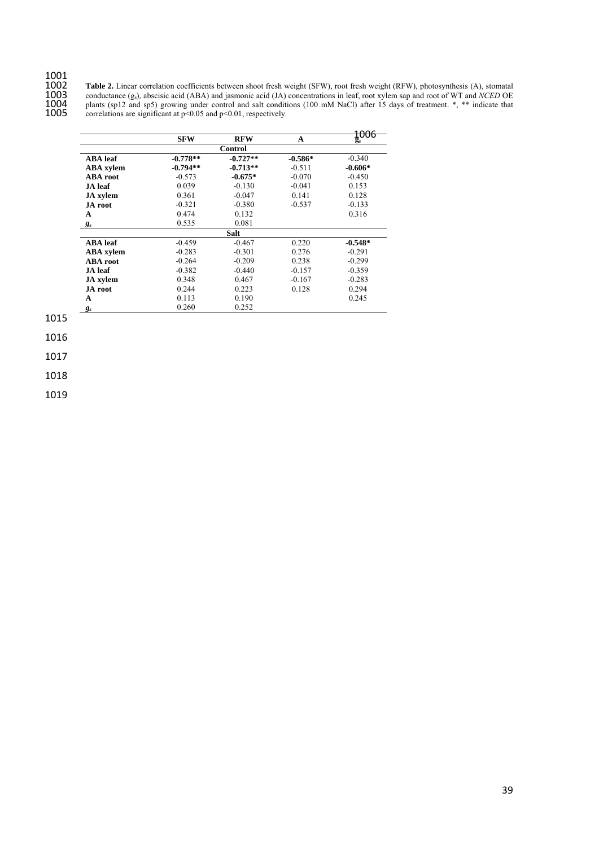# 1001<br>1002<br>1003<br>1004<br>1005

 **Table 2.** Linear correlation coefficients between shoot fresh weight (SFW), root fresh weight (RFW), photosynthesis (A), stomatal conductance (gs), abscisic acid (ABA) and jasmonic acid (JA) concentrations in leaf, root xylem sap and root of WT and *NCED* OE plants (sp12 and sp5) growing under control and salt conditions (100 mM NaCl) after 15 days of treatment. \*, \*\* indicate that correlations are significant at  $p<0.05$  and  $p<0.01$ , respectively.

|                  |            |             |           | 100c            |
|------------------|------------|-------------|-----------|-----------------|
|                  | <b>SFW</b> | <b>RFW</b>  | A         | <del>taaa</del> |
|                  |            | Control     |           |                 |
| <b>ABA</b> leaf  | $-0.778**$ | $-0.727**$  | $-0.586*$ | $-0.340$        |
| <b>ABA</b> xylem | $-0.794**$ | $-0.713**$  | $-0.511$  | $-0.606*$       |
| <b>ABA</b> root  | $-0.573$   | $-0.675*$   | $-0.070$  | $-0.450$        |
| JA leaf          | 0.039      | $-0.130$    | $-0.041$  | 0.153           |
| <b>JA</b> xylem  | 0.361      | $-0.047$    | 0.141     | 0.128           |
| <b>JA</b> root   | $-0.321$   | $-0.380$    | $-0.537$  | $-0.133$        |
| A                | 0.474      | 0.132       |           | 0.316           |
| $g_s$            | 0.535      | 0.081       |           |                 |
|                  |            | <b>Salt</b> |           |                 |
| <b>ABA</b> leaf  | $-0.459$   | $-0.467$    | 0.220     | $-0.548*$       |
| <b>ABA</b> xylem | $-0.283$   | $-0.301$    | 0.276     | $-0.291$        |
| <b>ABA</b> root  | $-0.264$   | $-0.209$    | 0.238     | $-0.299$        |
| JA leaf          | $-0.382$   | $-0.440$    | $-0.157$  | $-0.359$        |
| <b>JA</b> xylem  | 0.348      | 0.467       | $-0.167$  | $-0.283$        |
| <b>JA</b> root   | 0.244      | 0.223       | 0.128     | 0.294           |
| A                | 0.113      | 0.190       |           | 0.245           |
| $g_s$            | 0.260      | 0.252       |           |                 |

1015

1016

1017

1018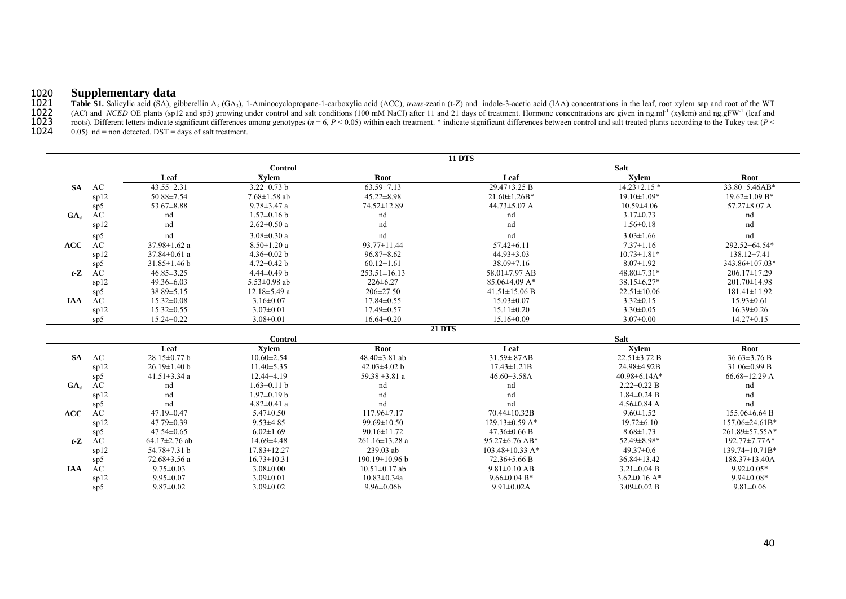#### 1020**Supplementary data**

1021Table S1. Salicylic acid (SA), gibberellin A<sub>3</sub> (GA<sub>3</sub>), 1-Aminocyclopropane-1-carboxylic acid (ACC), *trans*-zeatin (t-Z) and indole-3-acetic acid (IAA) concentrations in the leaf, root xylem sap and root of the WT (AC) and *NCED* OE plants (sp12 and sp5) growing under control and salt conditions (100 mM NaCl) after 11 and 21 days of treatment. Hormone concentrations are given in ng.ml<sup>-1</sup> (xylem) and ng.gFW<sup>-1</sup> (leaf and 1023roots). Different letters indicate significant differences among genotypes ( $n = 6$ ,  $P < 0.05$ ) within each treatment. \* indicate significant differences between control and salt treated plants according to the Tukey test

1024 $(0.05)$ , nd = non detected. DST = days of salt treatment.

|                 |      |                     |                    |                      | <b>11 DTS</b>         |                    |                     |
|-----------------|------|---------------------|--------------------|----------------------|-----------------------|--------------------|---------------------|
|                 |      |                     | Control            |                      |                       | <b>Salt</b>        |                     |
|                 |      | Leaf                | Xvlem              | Root                 | Leaf                  | Xylem              | Root                |
| <b>SA</b>       | AC   | 43.55±2.31          | $3.22 \pm 0.73$ b  | $63.59 \pm 7.13$     | $29.47 \pm 3.25 B$    | $14.23 \pm 2.15$ * | 33.80±5.46AB*       |
|                 | sp12 | $50.88 \pm 7.54$    | $7.68 \pm 1.58$ ab | $45.22 \pm 8.98$     | $21.60 \pm 1.26B^*$   | $19.10 \pm 1.09*$  | $19.62 \pm 1.09$ B* |
|                 | sp5  | $53.67 \pm 8.88$    | $9.78 \pm 3.47$ a  | 74.52±12.89          | $44.73 \pm 5.07$ A    | $10.59 \pm 4.06$   | $57.27 \pm 8.07$ A  |
| GA <sub>3</sub> | AC   | nd                  | $1.57 \pm 0.16$ b  | nd                   | nd                    | $3.17 \pm 0.73$    | nd                  |
|                 | sp12 | nd                  | $2.62 \pm 0.50$ a  | nd                   | nd                    | $1.56 \pm 0.18$    | nd                  |
|                 | sp5  | nd                  | $3.08 \pm 0.30$ a  | nd                   | nd                    | $3.03 \pm 1.66$    | nd                  |
| <b>ACC</b>      | AC   | $37.98 \pm 1.62$ a  | $8.50 \pm 1.20$ a  | $93.77 \pm 11.44$    | $57.42 \pm 6.11$      | $7.37 \pm 1.16$    | 292.52±64.54*       |
|                 | sp12 | $37.84 \pm 0.61$ a  | $4.36 \pm 0.02$ b  | $96.87 \pm 8.62$     | $44.93 \pm 3.03$      | $10.73 \pm 1.81*$  | 138.12±7.41         |
|                 | sp5  | $31.85 \pm 1.46$ b  | $4.72 \pm 0.42$ b  | $60.12 \pm 1.61$     | $38.09 \pm 7.16$      | $8.07 \pm 1.92$    | 343.86±107.03*      |
| $t-Z$           | AC   | $46.85 \pm 3.25$    | $4.44\pm0.49$ b    | $253.51 \pm 16.13$   | 58.01±7.97 AB         | 48.80±7.31*        | 206.17±17.29        |
|                 | sp12 | $49.36\pm 6.03$     | 5.53 $\pm$ 0.98 ab | $226 \pm 6.27$       | $85.06\pm4.09$ A*     | $38.15 \pm 6.27*$  | $201.70 \pm 14.98$  |
|                 | sp5  | $38.89 \pm 5.15$    | $12.18 \pm 5.49$ a | 206±27.50            | $41.51 \pm 15.06$ B   | $22.51 \pm 10.06$  | $181.41 \pm 11.92$  |
| <b>IAA</b>      | AC   | $15.32 \pm 0.08$    | $3.16 \pm 0.07$    | 17.84±0.55           | $15.03 \pm 0.07$      | $3.32 \pm 0.15$    | $15.93 \pm 0.61$    |
|                 | sp12 | $15.32 \pm 0.55$    | $3.07 \pm 0.01$    | 17.49±0.57           | $15.11 \pm 0.20$      | $3.30 \pm 0.05$    | $16.39 \pm 0.26$    |
|                 | sp5  | 15.24±0.22          | $3.08 \pm 0.01$    | $16.64 \pm 0.20$     | $15.16 \pm 0.09$      | $3.07 \pm 0.00$    | $14.27 \pm 0.15$    |
|                 |      |                     |                    | <b>21 DTS</b>        |                       |                    |                     |
|                 |      |                     | Control            |                      |                       | <b>Salt</b>        |                     |
|                 |      | Leaf                | <b>Xylem</b>       | Root                 | Leaf                  | <b>Xylem</b>       | Root                |
| <b>SA</b>       | AC   | 28.15±0.77 b        | $10.60 \pm 2.54$   | 48.40±3.81 ab        | $31.59 \pm .87AB$     | $22.51 \pm 3.72 B$ | $36.63 \pm 3.76 B$  |
|                 | sp12 | $26.19 \pm 1.40$ b  | $11.40 \pm 5.35$   | 42.03 $\pm$ 4.02 b   | $17.43 \pm 1.21B$     | 24.98±4.92B        | $31.06\pm0.99$ B    |
|                 | sp5  | $41.51 \pm 3.34$ a  | $12.44\pm4.19$     | 59.38 $\pm$ 3.81 a   | $46.60\pm3.58A$       | $40.98\pm6.14A*$   | $66.68 \pm 12.29$ A |
| GA <sub>3</sub> | AC   | nd                  | $1.63 \pm 0.11$ b  | nd                   | nd                    | $2.22 \pm 0.22$ B  | nd                  |
|                 | sp12 | nd                  | $1.97 \pm 0.19$ b  | nd                   | nd                    | $1.84 \pm 0.24$ B  | nd                  |
|                 | sp5  | nd                  | $4.82 \pm 0.41$ a  | nd                   | nd                    | $4.56 \pm 0.84$ A  | nd                  |
| <b>ACC</b>      | AC   | $47.19 \pm 0.47$    | $5.47 \pm 0.50$    | $117.96 \pm 7.17$    | 70.44±10.32B          | $9.60 \pm 1.52$    | 155.06±6.64 B       |
|                 | sp12 | $47.79 \pm 0.39$    | $9.53 \pm 4.85$    | $99.69 \pm 10.50$    | $129.13\pm0.59$ A*    | $19.72 \pm 6.10$   | 157.06±24.61B*      |
|                 | sp5  | $47.54 \pm 0.65$    | $6.02 \pm 1.69$    | $90.16 \pm 11.72$    | $47.36 \pm 0.66$ B    | $8.68 \pm 1.73$    | 261.89±57.55A*      |
| $t-Z$           | AC   | 64.17 $\pm$ 2.76 ab | 14.69±4.48         | 261.16±13.28 a       | 95.27±6.76 AB*        | 52.49±8.98*        | 192.77±7.77A*       |
|                 | sp12 | 54.78±7.31 b        | $17.83 \pm 12.27$  | 239.03 ab            | $103.48 \pm 10.33$ A* | $49.37 \pm 0.6$    | 139.74±10.71B*      |
|                 | sp5  | 72.68 $\pm$ 3.56 a  | $16.73 \pm 10.31$  | $190.19 \pm 10.96$ b | 72.36±5.66 B          | $36.84 \pm 13.42$  | 188.37±13.40A       |
| <b>IAA</b>      | AC   | $9.75 \pm 0.03$     | $3.08 \pm 0.00$    | $10.51 \pm 0.17$ ab  | $9.81 \pm 0.10$ AB    | $3.21 \pm 0.04$ B  | $9.92 \pm 0.05*$    |
|                 | sp12 | $9.95 \pm 0.07$     | $3.09 \pm 0.01$    | $10.83 \pm 0.34a$    | $9.66 \pm 0.04$ B*    | $3.62 \pm 0.16$ A* | $9.94 \pm 0.08*$    |
|                 | sp5  | $9.87 \pm 0.02$     | $3.09 \pm 0.02$    | $9.96 \pm 0.06$      | $9.91 \pm 0.02$ A     | $3.09 \pm 0.02$ B  | $9.81 \pm 0.06$     |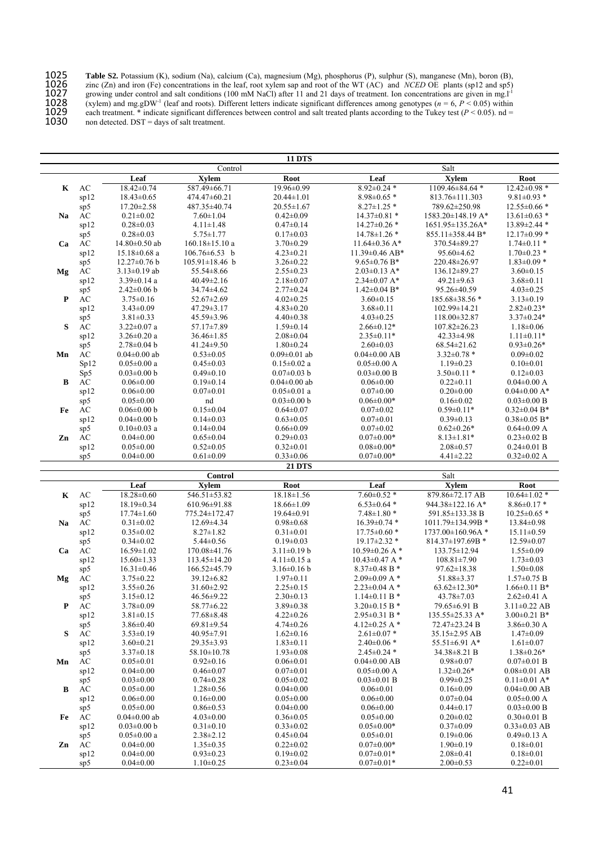1025 **Table S2.** Potassium (K), sodium (Na), calcium (Ca), magnesium (Mg), phosphorus (P), sulphur (S), manganese (Mn), boron (B), 1026 zinc (Zn) and iron (Fe) concentrations in the leaf, root xylem sap and root of the WT (AC) and *NCED* OE plants (sp12 and sp5) 1027 growing under control and salt conditions (100 mM NaCl) after 11 and 21 days of treatment. Ion concentrations are given in mg.l<sup>-1</sup> 1028 (xylem) and mg.gDW<sup>-1</sup> (leaf and roots). Different letters indicate significant differences among genotypes ( $n = 6, P < 0.05$ ) within 1029 each treatment. \* indicate significant differences between control and salt treated plants according to the Tukey test (*P* < 0.05). nd = 1030 non detected. DST = days of salt treatment.

|    |                        |                                    |                                      | <b>11 DTS</b>                      |                                                     |                                    |                                    |
|----|------------------------|------------------------------------|--------------------------------------|------------------------------------|-----------------------------------------------------|------------------------------------|------------------------------------|
|    |                        |                                    | Control                              |                                    |                                                     | Salt                               |                                    |
|    |                        | Leaf                               | <b>Xylem</b>                         | Root                               | Leaf                                                | <b>Xylem</b>                       | Root                               |
| Κ  | $\mathbf{A}\mathbf{C}$ | $18.42 \pm 0.74$                   | 587.49±66.71                         | 19.96±0.99                         | $8.92 \pm 0.24$ *                                   | 1109.46±84.64 *                    | $12.42 \pm 0.98$ *                 |
|    | sp12                   | $18.43 \pm 0.65$                   | 474.47±60.21                         | $20.44 \pm 1.01$                   | $8.98 \pm 0.65$ *                                   | 813.76±111.303                     | $9.81 \pm 0.93$ *                  |
|    | sp5                    | $17.20 \pm 2.58$                   | 487.35±40.74                         | $20.55 \pm 1.67$                   | $8.27 \pm 1.25$ *                                   | 789.62±250.98                      | $12.55 \pm 0.66$ *                 |
| Na | $\mathbf{A}\mathbf{C}$ | $0.21 \pm 0.02$                    | $7.60 \pm 1.04$                      | $0.42 \pm 0.09$                    | $14.37 \pm 0.81$ *                                  | 1583.20±148.19 A*                  | $13.61 \pm 0.63$ *                 |
|    | sp12                   | $0.28 \pm 0.03$                    | $4.11 \pm 1.48$                      | $0.47 \pm 0.14$                    | $14.27 \pm 0.26$ *                                  | $1651.95 \pm 135.26$ A*            | 13.89±2.44 *                       |
|    | sp5                    | $0.28 \pm 0.03$                    | $5.75 \pm 1.77$                      | $0.17 \pm 0.03$                    | 14.78±1.26 *                                        | 855.11±358.44 B*                   | $12.17 \pm 0.99$ *                 |
| Ca | AC                     | $14.80 \pm 0.50$ ab                | $160.18 \pm 15.10$ a                 | $3.70 \pm 0.29$                    | $11.64 \pm 0.36$ A*                                 | 370.54±89.27                       | $1.74 \pm 0.11$ *                  |
|    | sp12                   | $15.18 \pm 0.68$ a                 | $106.76 \pm 6.53$ b                  | $4.23 \pm 0.21$                    | 11.39±0.46 AB*                                      | $95.60 \pm 4.62$                   | $1.70 \pm 0.23$ *                  |
|    | sp5                    | $12.27 \pm 0.76$ b                 | $105.91 \pm 18.46$ b                 | $3.26 \pm 0.22$                    | $9.65 \pm 0.76$ B*                                  | 220.48±26.97                       | $1.83 \pm 0.09$ *                  |
| Mg | AC                     | $3.13 \pm 0.19$ ab                 | 55.54 ± 8.66                         | $2.55 \pm 0.23$                    | $2.03 \pm 0.13$ A*                                  | 136.12±89.27                       | $3.60 \pm 0.15$                    |
|    | sp12                   | $3.39 \pm 0.14$ a                  | $40.49 \pm 2.16$                     | $2.18 \pm 0.07$                    | $2.34\pm0.07$ A*                                    | 49.21±9.63                         | $3.68 \pm 0.11$                    |
|    | sp5                    | $2.42 \pm 0.06$ b                  | 34.74±4.62                           | $2.77 \pm 0.24$                    | $1.42 \pm 0.04$ B*                                  | 95.26±40.59                        | $4.03 \pm 0.25$                    |
| P  | ÁC                     | $3.75 \pm 0.16$                    | 52.67±2.69                           | $4.02 \pm 0.25$                    | $3.60 \pm 0.15$                                     | 185.68±38.56 *                     | $3.13 \pm 0.19$                    |
|    | sp12                   | $3.43 \pm 0.09$                    | $47.29 \pm 3.17$                     | $4.83 \pm 0.20$                    | $3.68 \pm 0.11$                                     | 102.99±14.21                       | $2.82 \pm 0.23*$                   |
|    |                        | $3.81 \pm 0.33$                    | 45.59±3.96                           | $4.40 \pm 0.38$                    | $4.03 \pm 0.25$                                     |                                    | $3.37 \pm 0.24*$                   |
|    | sp5                    |                                    |                                      |                                    |                                                     | $118.00 \pm 32.87$                 |                                    |
| S  | AC                     | $3.22 \pm 0.07$ a                  | 57.17±7.89                           | $1.59 \pm 0.14$                    | $2.66 \pm 0.12*$                                    | $107.82 \pm 26.23$                 | $1.18 \pm 0.06$                    |
|    | sp12                   | $3.26 \pm 0.20$ a                  | $36.46 \pm 1.85$                     | $2.08 \pm 0.04$                    | $2.35 \pm 0.11*$                                    | 42.33±4.98                         | $1.11 \pm 0.11*$                   |
|    | sp5                    | $2.78 \pm 0.04$ b                  | 41.24±9.50                           | $1.80 \pm 0.24$                    | $2.60 \pm 0.03$                                     | $68.54 \pm 21.62$                  | $0.93 \pm 0.26*$                   |
| Mn | $\mathbf{A}\mathbf{C}$ | $0.04 \pm 0.00$ ab                 | $0.53 \pm 0.05$                      | $0.09 \pm 0.01$ ab                 | $0.04 \pm 0.00$ AB                                  | $3.32 \pm 0.78$ *                  | $0.09 \pm 0.02$                    |
|    | Sp12                   | $0.05 \pm 0.00$ a                  | $0.45 \pm 0.03$                      | $0.15 \pm 0.02$ a                  | $0.05 \pm 0.00$ A                                   | $1.19 \pm 0.23$                    | $0.10 \pm 0.01$                    |
|    | Sp5                    | $0.03 \pm 0.00$ b                  | $0.49 \pm 0.10$                      | $0.07 \pm 0.03$ b                  | $0.03 \pm 0.00 B$                                   | $3.50 \pm 0.11$ *                  | $0.12 \pm 0.03$                    |
| B  | $\mathbf{A}\mathbf{C}$ | $0.06 \pm 0.00$                    | $0.19 \pm 0.14$                      | $0.04 \pm 0.00$ ab                 | $0.06 \pm 0.00$                                     | $0.22 \pm 0.11$                    | $0.04 \pm 0.00$ A                  |
|    | sp12                   | $0.06 \pm 0.00$                    | $0.07 \pm 0.01$                      | $0.05 \pm 0.01$ a                  | $0.07 \pm 0.00$                                     | $0.20 \pm 0.00$                    | $0.04\pm0.00$ A*                   |
|    | sp5                    | $0.05 \pm 0.00$                    | nd                                   | $0.03 \pm 0.00$ b                  | $0.06 \pm 0.00*$                                    | $0.16 \pm 0.02$                    | $0.03 \pm 0.00 B$                  |
| Fe | AC                     | $0.06 \pm 0.00$ b                  | $0.15 \pm 0.04$                      | $0.64 \pm 0.07$                    | $0.07 \pm 0.02$                                     | $0.59 \pm 0.11*$                   | $0.32 \pm 0.04$ B*                 |
|    | sp12                   | $0.04 \pm 0.00$ b                  | $0.14 \pm 0.03$                      | $0.63 \pm 0.05$                    | $0.07 \pm 0.01$                                     | $0.39 \pm 0.13$                    | $0.38 \pm 0.05$ B*                 |
|    | sp5                    | $0.10 \pm 0.03$ a                  | $0.14 \pm 0.04$                      | $0.66 \pm 0.09$                    | $0.07 \pm 0.02$                                     | $0.62 \pm 0.26*$                   | $0.64 \pm 0.09$ A                  |
| Zn | ÁC                     | $0.04 \pm 0.00$                    | $0.65 \pm 0.04$                      | $0.29 \pm 0.03$                    | $0.07 \pm 0.00*$                                    | $8.13 \pm 1.81*$                   | $0.23 \pm 0.02$ B                  |
|    | sp12                   | $0.05 \pm 0.00$                    | $0.52 \pm 0.05$                      | $0.32 \pm 0.01$                    | $0.08 \pm 0.00*$                                    | $2.08 \pm 0.57$                    | $0.24 \pm 0.01$ B                  |
|    | sp5                    | $0.04 \pm 0.00$                    | $0.61 \pm 0.09$                      | $0.33 \pm 0.06$                    | $0.07 \pm 0.00*$                                    | $4.41 \pm 2.22$                    | $0.32 \pm 0.02$ A                  |
|    |                        |                                    |                                      | <b>21 DTS</b>                      |                                                     |                                    |                                    |
|    |                        |                                    |                                      |                                    |                                                     |                                    |                                    |
|    |                        |                                    | Control                              |                                    |                                                     | Salt                               |                                    |
|    |                        | Leaf                               | <b>Xylem</b>                         | <b>Root</b>                        | Leaf                                                | <b>Xylem</b>                       | <b>Root</b>                        |
| Κ  | $\mathbf{A}\mathbf{C}$ | $18.28 \pm 0.60$                   | 546.51±53.82                         | $18.18 \pm 1.56$                   | $7.60\pm0.52$ *                                     | 879.86±72.17 AB                    | $10.64 \pm 1.02$ *                 |
|    | sp12                   | 18.19±0.34                         | 610.96±91.88                         | $18.66 \pm 1.09$                   | $6.53 \pm 0.64$ *                                   | 944.38±122.16 A*                   | $8.86 \pm 0.17$ *                  |
|    | sp5                    | $17.74 \pm 1.60$                   | 775.24±172.47                        | 19.64±0.91                         | $7.48 \pm 1.80$ *                                   | 591.85±133.38 B                    | $10.25 \pm 0.65$ *                 |
| Na | $\mathbf{A}\mathbf{C}$ | $0.31 \pm 0.02$                    | 12.69±4.34                           | $0.98 \pm 0.68$                    | 16.39±0.74 *                                        | 1011.79±134.99B *                  | 13.84±0.98                         |
|    | sp12                   | $0.35 \pm 0.02$                    | $8.27 \pm 1.82$                      | $0.31 \pm 0.01$                    | $17.75 \pm 0.60$ *                                  | 1737.00±160.96A *                  | $15.11 \pm 0.59$                   |
|    | sp5                    | $0.34 \pm 0.02$                    | $5.44 \pm 0.56$                      | $0.19 \pm 0.03$                    | 19.17±2.32 *                                        | 814.37±197.69B *                   | 12.59±0.07                         |
| Ca | $\mathbf{A}\mathbf{C}$ | $16.59 \pm 1.02$                   | 170.08±41.76                         | $3.11 \pm 0.19$ b                  | $10.59 \pm 0.26$ A *                                | 133.75±12.94                       | $1.55 \pm 0.09$                    |
|    | sp12                   | $15.60 \pm 1.33$                   | 113.45±14.20                         | $4.11 \pm 0.15$ a                  | $10.43 \pm 0.47$ A*                                 | $108.81 \pm 7.90$                  | $1.73 \pm 0.03$                    |
|    |                        | $16.31 \pm 0.46$                   | 166.52±45.79                         | $3.16 \pm 0.16$ b                  | 8.37 $\pm$ 0.48 B *                                 | $97.62 \pm 18.38$                  | $1.50 \pm 0.08$                    |
| Mg | sp5                    | $3.75 \pm 0.22$                    | $39.12 \pm 6.82$                     |                                    | $2.09\pm0.09$ A *                                   | 51.88±3.37                         | $1.57 \pm 0.75$ B                  |
|    | AC                     | $3.55 \pm 0.26$                    | $31.60 \pm 2.92$                     | $1.97 \pm 0.11$<br>$2.25 \pm 0.15$ | $2.23 \pm 0.04$ A *                                 | $63.62 \pm 12.30*$                 | $1.66 \pm 0.11 B*$                 |
|    | sp12                   | $3.15 \pm 0.12$                    | 46.56±9.22                           | $2.30\pm0.13$                      | $1.14 \pm 0.11 B$ *                                 | $43.78 \pm 7.03$                   | $2.62 \pm 0.41$ A                  |
| ₽  | sp5                    |                                    |                                      |                                    |                                                     | 79.65±6.91 B                       | $3.11 \pm 0.22$ AB                 |
|    | AC                     | $3.78 \pm 0.09$<br>$3.81 \pm 0.15$ | $58.77 \pm 6.22$                     | 3.89±0.38                          | $3.20\pm0.15$ B <sup>*</sup><br>$2.95 \pm 0.31 B$ * |                                    |                                    |
|    | sp12                   |                                    | $77.68 \pm 8.48$<br>$69.81 \pm 9.54$ | $4.22 \pm 0.26$                    |                                                     | $135.55 \pm 25.33$ A*              | $3.00\pm0.21$ B*                   |
|    | sp5                    | $3.86 \pm 0.40$                    |                                      | $4.74 \pm 0.26$                    | $4.12 \pm 0.25$ A *                                 | 72.47±23.24 B                      | $3.86 \pm 0.30$ A                  |
| S  | AC                     | $3.53 \pm 0.19$                    | $40.95 \pm 7.91$                     | $1.62 \pm 0.16$                    | $2.61 \pm 0.07$ *                                   | $35.15 \pm 2.95$ AB                | $1.47 \pm 0.09$                    |
|    | sp12                   | $3.60 \pm 0.21$                    | $29.35 \pm 3.93$                     | $1.83 \pm 0.11$                    | $2.40\pm0.06*$                                      | 55.51 $\pm$ 6.91 A*                | $1.61 \pm 0.07$                    |
|    | sp5                    | $3.37 \pm 0.18$                    | $58.10 \pm 10.78$                    | $1.93 \pm 0.08$                    | $2.45 \pm 0.24$ *                                   | $34.38 \pm 8.21 B$                 | $1.38 \pm 0.26*$                   |
| Mn | AC                     | $0.05 \pm 0.01$                    | $0.92 \pm 0.16$                      | $0.06 \pm 0.01$                    | $0.04 \pm 0.00$ AB                                  | $0.98 \pm 0.07$                    | $0.07 \pm 0.01$ B                  |
|    | sp12                   | $0.04 \pm 0.00$                    | $0.46 \pm 0.07$                      | $0.07 \pm 0.01$                    | $0.05 \pm 0.00$ A                                   | $1.32 \pm 0.26*$                   | $0.08 \pm 0.01$ AB                 |
|    | sp5                    | $0.03 \pm 0.00$                    | $0.74 \pm 0.28$                      | $0.05 \pm 0.02$                    | $0.03 \pm 0.01$ B                                   | $0.99 \pm 0.25$                    | $0.11 \pm 0.01$ A*                 |
| B  | AC                     | $0.05 \pm 0.00$                    | $1.28 \pm 0.56$                      | $0.04 \pm 0.00$                    | $0.06 \pm 0.01$                                     | $0.16 \pm 0.09$                    | $0.04 \pm 0.00$ AB                 |
|    | sp12                   | $0.06 \pm 0.00$                    | $0.16 \pm 0.00$                      | $0.05 \pm 0.00$                    | $0.06 \pm 0.00$                                     | $0.07 \pm 0.04$                    | $0.05 \pm 0.00$ A                  |
|    | sp5                    | $0.05 \pm 0.00$                    | $0.86 \pm 0.53$                      | $0.04 \pm 0.00$                    | $0.06 \pm 0.00$                                     | $0.44 \pm 0.17$                    | $0.03 \pm 0.00 B$                  |
| Fe | AC                     | $0.04 \pm 0.00$ ab                 | $4.03 \pm 0.00$                      | $0.36 \pm 0.05$                    | $0.05 \pm 0.00$                                     | $0.20 \pm 0.02$                    | $0.30 \pm 0.01$ B                  |
|    | sp12                   | $0.03 \pm 0.00$ b                  | $0.31 \pm 0.10$                      | $0.33 \pm 0.02$                    | $0.05 \pm 0.00*$                                    | $0.37 \pm 0.09$                    | $0.33 \pm 0.03$ AB                 |
|    | sp5                    | $0.05 \pm 0.00$ a                  | $2.38 \pm 2.12$                      | $0.45 \pm 0.04$                    | $0.05 \pm 0.01$                                     | $0.19 \pm 0.06$                    | $0.49 \pm 0.13$ A                  |
| Zn | AC                     | $0.04 \pm 0.00$                    | $1.35 \pm 0.35$                      | $0.22 \pm 0.02$                    | $0.07 \pm 0.00*$                                    | $1.90 \pm 0.19$                    | $0.18 \pm 0.01$                    |
|    | sp12<br>sp5            | $0.04 \pm 0.00$<br>$0.04 \pm 0.00$ | $0.93 \pm 0.23$<br>$1.10 \pm 0.25$   | $0.19 \pm 0.02$<br>$0.23 \pm 0.04$ | $0.07 \pm 0.01*$<br>$0.07 \pm 0.01*$                | $2.08 \pm 0.41$<br>$2.00 \pm 0.53$ | $0.18 \pm 0.01$<br>$0.22 \pm 0.01$ |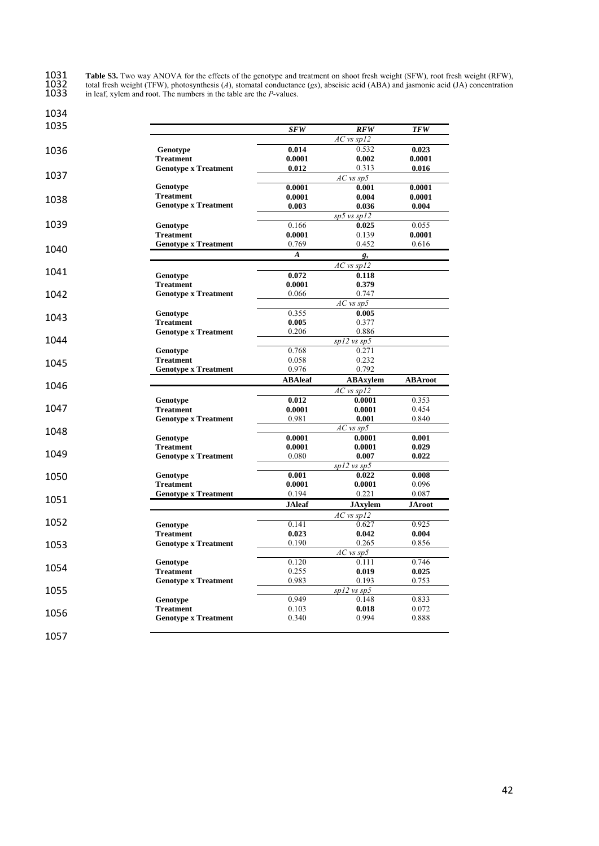1031 **Table S3.** Two way ANOVA for the effects of the genotype and treatment on shoot fresh weight (SFW), root fresh weight (RFW), 1032 total fresh weight (TFW), photosynthesis (*A*), stomatal conductance (*gs*), abscisic acid (ABA) and jasmonic acid (JA) concentration 1033 in leaf, xylem and root. The numbers in the table are the *P*-values.

| 1035                                 |                                                 | <b>SFW</b>       | RFW                  | <b>TFW</b>     |
|--------------------------------------|-------------------------------------------------|------------------|----------------------|----------------|
|                                      |                                                 |                  | $AC$ vs sp12         |                |
| 1036                                 | Genotype                                        | 0.014            | 0.532                | 0.023          |
|                                      | <b>Treatment</b>                                | 0.0001           | 0.002                | 0.0001         |
|                                      | <b>Genotype x Treatment</b>                     | 0.012            | 0.313                | 0.016          |
| 1037                                 |                                                 |                  | $AC$ vs sp5          |                |
|                                      | Genotype                                        | 0.0001           | 0.001                | 0.0001         |
| 1038                                 | <b>Treatment</b>                                | 0.0001           | 0.004                | 0.0001         |
|                                      | <b>Genotype x Treatment</b>                     | 0.003            | 0.036                | 0.004          |
|                                      |                                                 |                  | $sp5$ vs $sp12$      |                |
| 1039                                 | Genotype                                        | 0.166            | 0.025                | 0.055          |
|                                      | <b>Treatment</b>                                | 0.0001           | 0.139                | 0.0001         |
| 1040                                 | <b>Genotype x Treatment</b>                     | 0.769            | 0.452                | 0.616          |
|                                      |                                                 | $\boldsymbol{A}$ | $g_s$                |                |
|                                      |                                                 |                  | $AC$ vs sp12         |                |
| 1041                                 | Genotype                                        | 0.072            | 0.118                |                |
|                                      | <b>Treatment</b>                                | 0.0001           | 0.379                |                |
| 1042                                 | <b>Genotype x Treatment</b>                     | 0.066            | 0.747                |                |
|                                      |                                                 |                  | $AC$ vs $sp5$        |                |
|                                      | Genotype                                        | 0.355            | 0.005                |                |
| 1043                                 | <b>Treatment</b>                                | 0.005            | 0.377                |                |
|                                      | <b>Genotype x Treatment</b>                     | 0.206            | 0.886                |                |
| 1044                                 |                                                 |                  | $\sqrt{sp12}$ vs sp5 |                |
|                                      | Genotype                                        | 0.768            | 0.271                |                |
|                                      | <b>Treatment</b>                                | 0.058            | 0.232                |                |
| 1045                                 | <b>Genotype x Treatment</b>                     | 0.976            | 0.792                |                |
|                                      |                                                 | <b>ABAleaf</b>   | <b>ABAxylem</b>      | <b>ABAroot</b> |
| 1046                                 |                                                 |                  | $AC$ vs sp12         |                |
|                                      | Genotype                                        | 0.012            | 0.0001               | 0.353          |
| 1047                                 | <b>Treatment</b>                                | 0.0001           | 0.0001               | 0.454          |
|                                      | <b>Genotype x Treatment</b>                     | 0.981            | 0.001                | 0.840          |
|                                      |                                                 |                  | $AC$ vs $sp5$        |                |
|                                      | Genotype                                        | 0.0001           | 0.0001               | 0.001          |
|                                      | <b>Treatment</b>                                | 0.0001           |                      |                |
|                                      |                                                 |                  | 0.0001               | 0.029          |
|                                      | <b>Genotype x Treatment</b>                     | 0.080            | 0.007                | 0.022          |
|                                      |                                                 |                  | $spl2$ vs $sp5$      |                |
|                                      | Genotype                                        | 0.001            | 0.022                | 0.008          |
|                                      | <b>Treatment</b>                                | 0.0001           | 0.0001               | 0.096          |
|                                      | <b>Genotype x Treatment</b>                     | 0.194            | 0.221                | 0.087          |
|                                      |                                                 |                  |                      |                |
|                                      |                                                 | <b>JAleaf</b>    | <b>JAxylem</b>       | JAroot         |
|                                      |                                                 |                  | $AC$ vs sp12         |                |
|                                      | Genotype                                        | 0.141            | 0.627                | 0.925          |
|                                      | <b>Treatment</b>                                | 0.023            | 0.042                | 0.004          |
|                                      | <b>Genotype x Treatment</b>                     | 0.190            | 0.265                | 0.856          |
| 1049<br>1050<br>1051<br>1052<br>1053 |                                                 |                  | $AC$ vs sp5          |                |
|                                      | Genotype                                        | 0.120            | 0.111                | 0.746          |
|                                      | <b>Treatment</b>                                | 0.255            | 0.019                | 0.025          |
|                                      | <b>Genotype x Treatment</b>                     | 0.983            | 0.193                | 0.753          |
|                                      |                                                 |                  | $spl2$ vs $sp5$      |                |
|                                      | Genotype                                        | 0.949            | 0.148                | 0.833          |
| 1054<br>1055<br>1056                 | <b>Treatment</b><br><b>Genotype x Treatment</b> | 0.103<br>0.340   | 0.018<br>0.994       | 0.072<br>0.888 |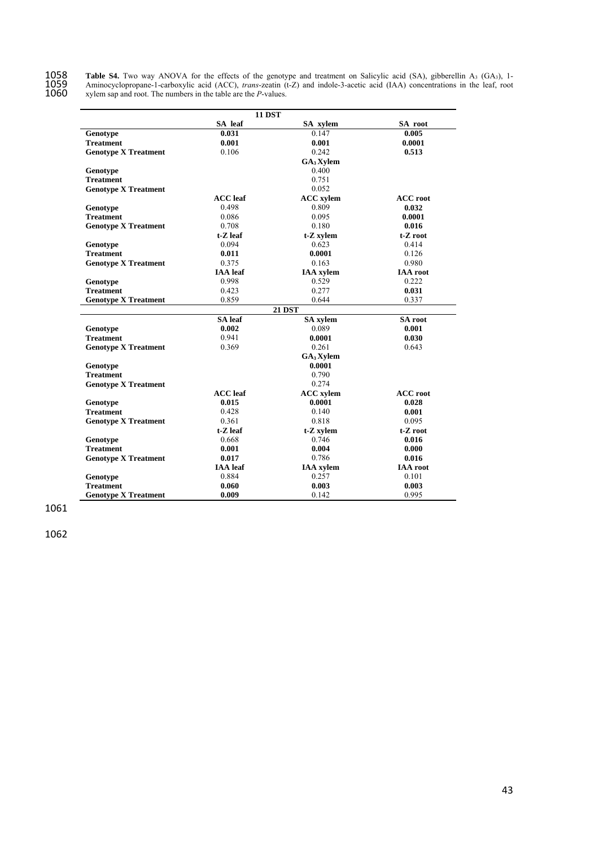1058 Table S4. Two way ANOVA for the effects of the genotype and treatment on Salicylic acid (SA), gibberellin A<sub>3</sub> (GA<sub>3</sub>), 1-1059 Aminocyclopropane-1-carboxylic acid (ACC), *trans*-zeatin (t-Z) and indole-3-acetic acid (IAA) concentrations in the leaf, root 1060 xylem sap and root. The numbers in the table are the *P*-values.

|                             | <b>11 DST</b>   |                       |                 |
|-----------------------------|-----------------|-----------------------|-----------------|
|                             | SA leaf         | SA xylem              | SA root         |
| Genotype                    | 0.031           | 0.147                 | 0.005           |
| <b>Treatment</b>            | 0.001           | 0.001                 | 0.0001          |
| <b>Genotype X Treatment</b> | 0.106           | 0.242                 | 0.513           |
|                             |                 | $GA_3$ Xylem          |                 |
| Genotype                    |                 | 0.400                 |                 |
| <b>Treatment</b>            |                 | 0.751                 |                 |
| <b>Genotype X Treatment</b> |                 | 0.052                 |                 |
|                             | <b>ACC</b> leaf | <b>ACC</b> xylem      | <b>ACC</b> root |
| Genotype                    | 0.498           | 0.809                 | 0.032           |
| <b>Treatment</b>            | 0.086           | 0.095                 | 0.0001          |
| <b>Genotype X Treatment</b> | 0.708           | 0.180                 | 0.016           |
|                             | $t-Z$ leaf      | t-Z xylem             | t-Z root        |
| Genotype                    | 0.094           | 0.623                 | 0.414           |
| <b>Treatment</b>            | 0.011           | 0.0001                | 0.126           |
| <b>Genotype X Treatment</b> | 0.375           | 0.163                 | 0.980           |
|                             | <b>IAA</b> leaf | <b>IAA</b> xylem      | <b>IAA</b> root |
| Genotype                    | 0.998           | 0.529                 | 0.222           |
| <b>Treatment</b>            | 0.423           | 0.277                 | 0.031           |
| <b>Genotype X Treatment</b> | 0.859           | 0.644                 | 0.337           |
|                             |                 | <b>21 DST</b>         |                 |
|                             | SA leaf         | <b>SA</b> xylem       | <b>SA</b> root  |
| Genotype                    | 0.002           | 0.089                 | 0.001           |
| <b>Treatment</b>            | 0.941           | 0.0001                | 0.030           |
| <b>Genotype X Treatment</b> | 0.369           | 0.261                 | 0.643           |
|                             |                 | GA <sub>3</sub> Xylem |                 |
| Genotype                    |                 | 0.0001                |                 |
| <b>Treatment</b>            |                 | 0.790                 |                 |
| <b>Genotype X Treatment</b> |                 | 0.274                 |                 |
|                             | <b>ACC</b> leaf | <b>ACC</b> xylem      | <b>ACC</b> root |
| Genotype                    | 0.015           | 0.0001                | 0.028           |
| <b>Treatment</b>            | 0.428           | 0.140                 | 0.001           |
| <b>Genotype X Treatment</b> | 0.361           | 0.818                 | 0.095           |
|                             | $t-Z$ leaf      | t-Z xylem             | t-Z root        |
| Genotype                    | 0.668           | 0.746                 | 0.016           |
| <b>Treatment</b>            | 0.001           | 0.004                 | 0.000           |
| <b>Genotype X Treatment</b> | 0.017           | 0.786                 | 0.016           |
|                             | <b>IAA</b> leaf | <b>IAA</b> xylem      | <b>IAA</b> root |
| Genotype                    | 0.884           | 0.257                 | 0.101           |
| <b>Treatment</b>            | 0.060           | 0.003                 | 0.003           |
| <b>Genotype X Treatment</b> | 0.009           | 0.142                 | 0.995           |

1061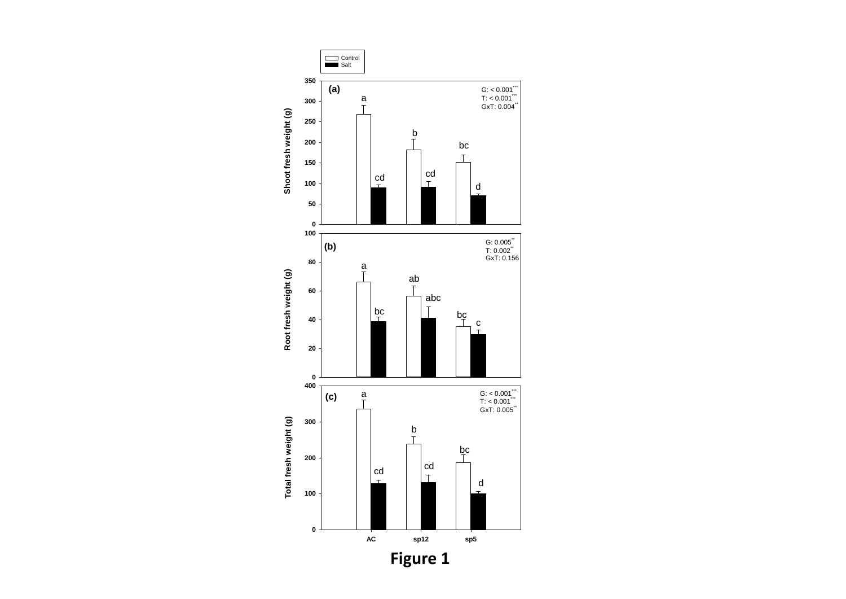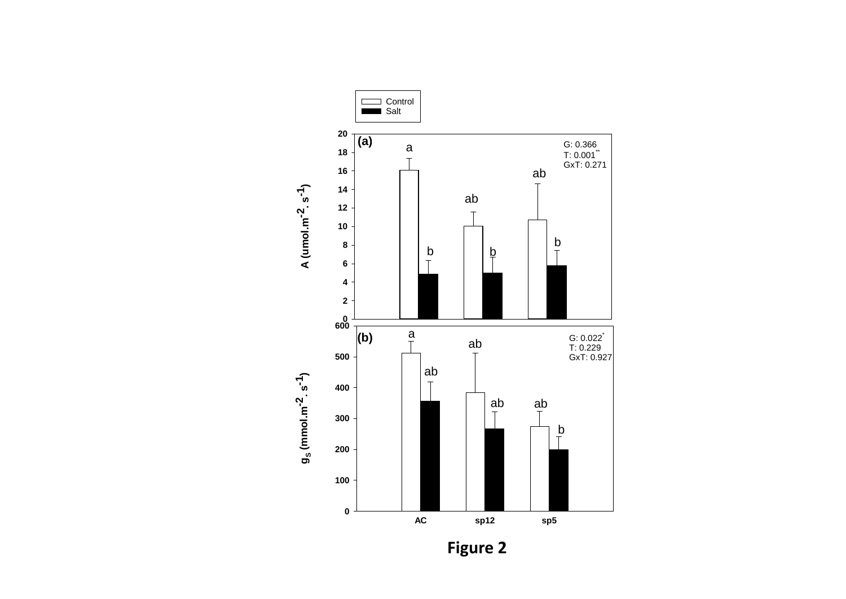

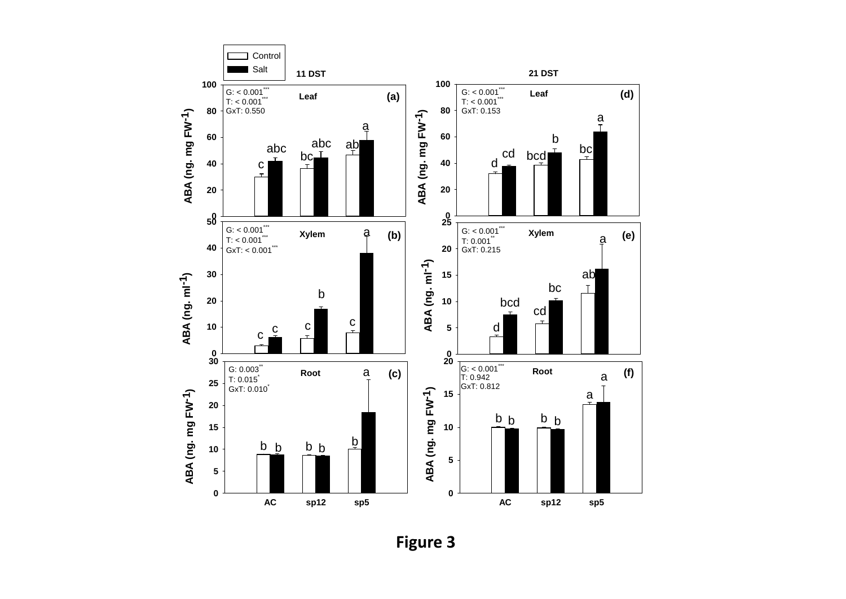

**Figure 3**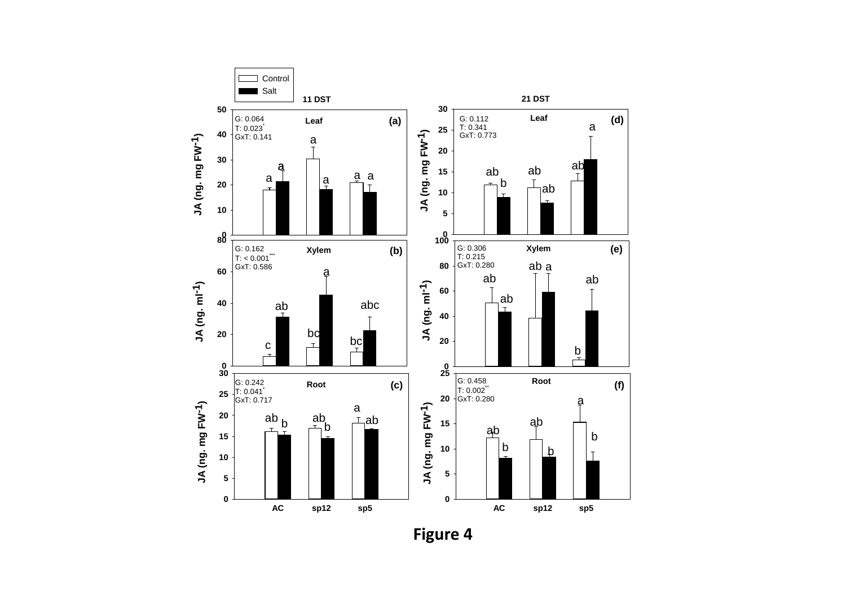

**Figure 4**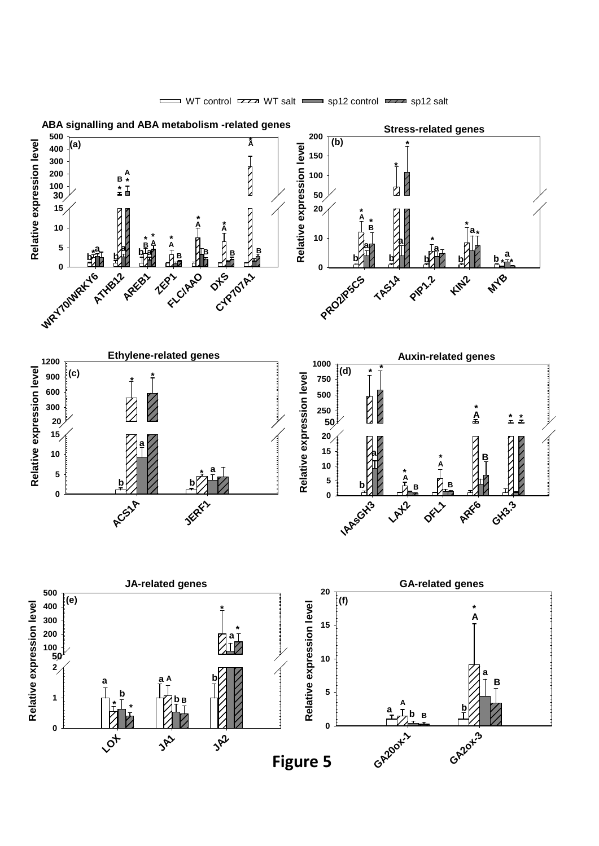

WT control  $\overline{zz}$  WT salt  $\overline{z}$  sp12 control  $\overline{zz}$  sp12 salt  $\Box$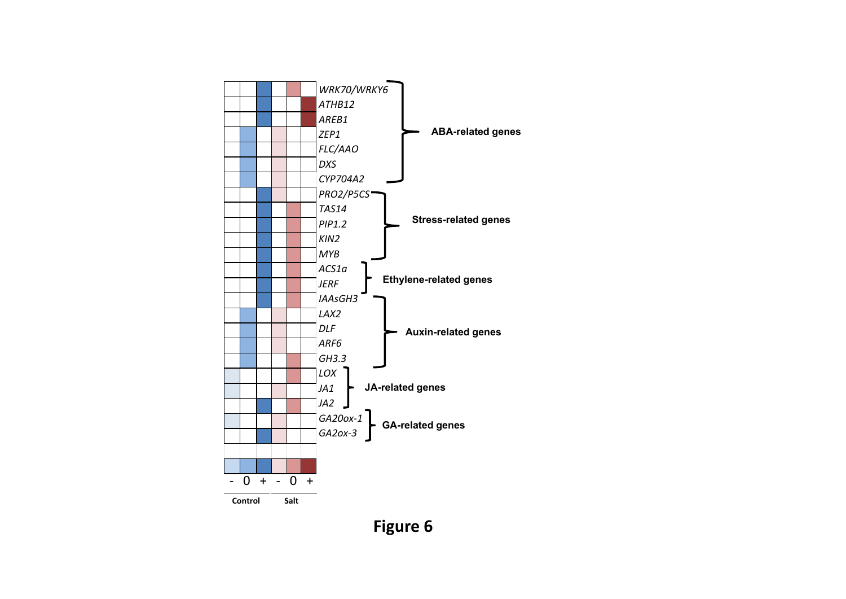

# **Figure 6**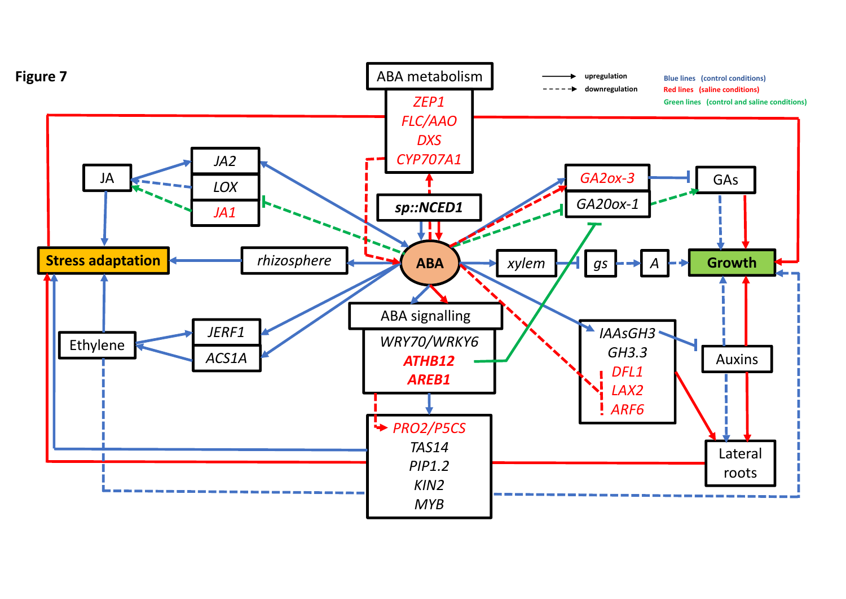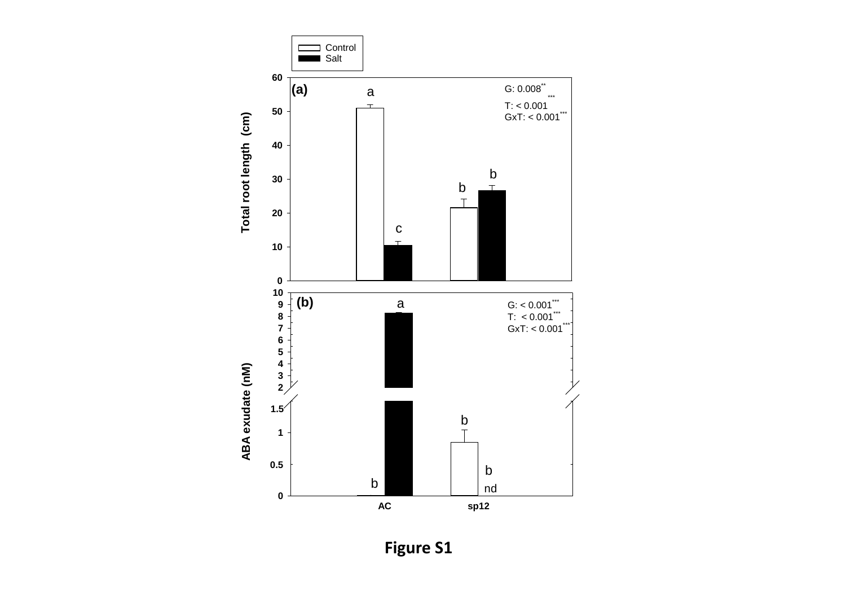

**Figure S1**